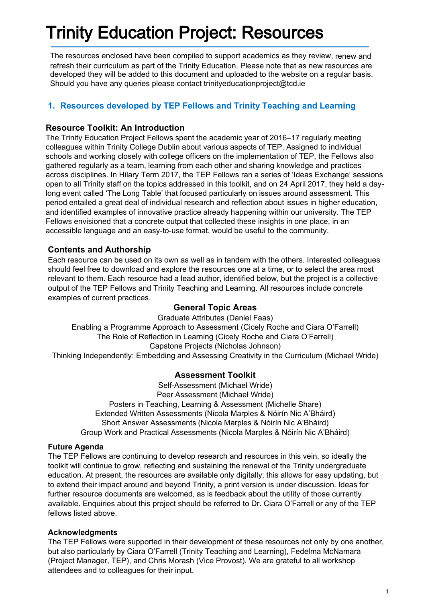# Trinity Education Project: Resources

The resources enclosed have been compiled to support academics as they review, renew and refresh their curriculum as part of the Trinity Education. Please note that as new resources are developed they will be added to this document and uploaded to the website on a regular basis. Should you have any queries please contact trinityeducationproject@tcd.ie

# **1. Resources developed by TEP Fellows and Trinity Teaching and Learning**

### **Resource Toolkit: An Introduction**

The Trinity Education Project Fellows spent the academic year of 2016–17 regularly meeting colleagues within Trinity College Dublin about various aspects of TEP. Assigned to individual schools and working closely with college officers on the implementation of TEP, the Fellows also gathered regularly as a team, learning from each other and sharing knowledge and practices across disciplines. In Hilary Term 2017, the TEP Fellows ran a series of 'Ideas Exchange' sessions open to all Trinity staff on the topics addressed in this toolkit, and on 24 April 2017, they held a daylong event called 'The Long Table' that focused particularly on issues around assessment. This period entailed a great deal of individual research and reflection about issues in higher education, and identified examples of innovative practice already happening within our university. The TEP Fellows envisioned that a concrete output that collected these insights in one place, in an accessible language and an easy-to-use format, would be useful to the community.

### **Contents and Authorship**

Each resource can be used on its own as well as in tandem with the others. Interested colleagues should feel free to download and explore the resources one at a time, or to select the area most relevant to them. Each resource had a lead author, identified below, but the project is a collective output of the TEP Fellows and Trinity Teaching and Learning. All resources include concrete examples of current practices.

### **General Topic Areas**

Graduate Attributes (Daniel Faas) Enabling a Programme Approach to Assessment (Cicely Roche and Ciara O'Farrell) The Role of Reflection in Learning (Cicely Roche and Ciara O'Farrell) Capstone Projects (Nicholas Johnson) Thinking Independently: Embedding and Assessing Creativity in the Curriculum (Michael Wride)

# **Assessment Toolkit**

Self-Assessment (Michael Wride) Peer Assessment (Michael Wride) Posters in Teaching, Learning & Assessment (Michelle Share) Extended Written Assessments (Nicola Marples & Nóirín Nic A'Bháird) Short Answer Assessments (Nicola Marples & Nóirín Nic A'Bháird) Group Work and Practical Assessments (Nicola Marples & Nóirín Nic A'Bháird)

### **Future Agenda**

The TEP Fellows are continuing to develop research and resources in this vein, so ideally the toolkit will continue to grow, reflecting and sustaining the renewal of the Trinity undergraduate education. At present, the resources are available only digitally; this allows for easy updating, but to extend their impact around and beyond Trinity, a print version is under discussion. Ideas for further resource documents are welcomed, as is feedback about the utility of those currently available. Enquiries about this project should be referred to Dr. Ciara O'Farrell or any of the TEP fellows listed above.

### **Acknowledgments**

The TEP Fellows were supported in their development of these resources not only by one another, but also particularly by Ciara O'Farrell (Trinity Teaching and Learning), Fedelma McNamara (Project Manager, TEP), and Chris Morash (Vice Provost). We are grateful to all workshop attendees and to colleagues for their input.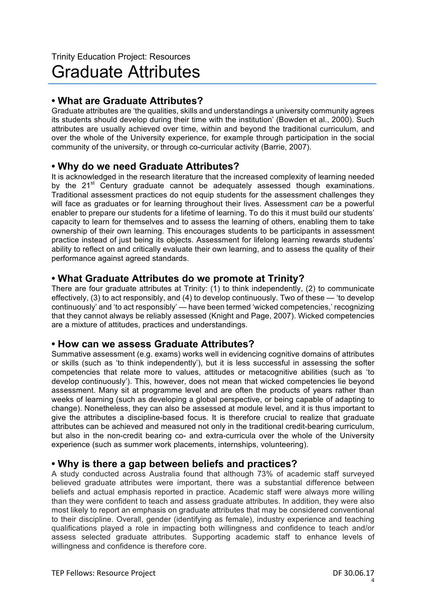# **• What are Graduate Attributes?**

Graduate attributes are 'the qualities, skills and understandings a university community agrees its students should develop during their time with the institution' (Bowden et al., 2000). Such attributes are usually achieved over time, within and beyond the traditional curriculum, and over the whole of the University experience, for example through participation in the social community of the university, or through co-curricular activity (Barrie, 2007).

# **• Why do we need Graduate Attributes?**

It is acknowledged in the research literature that the increased complexity of learning needed by the  $21<sup>st</sup>$  Century graduate cannot be adequately assessed though examinations. Traditional assessment practices do not equip students for the assessment challenges they will face as graduates or for learning throughout their lives. Assessment *can* be a powerful enabler to prepare our students for a lifetime of learning. To do this it must build our students' capacity to learn for themselves and to assess the learning of others, enabling them to take ownership of their own learning. This encourages students to be participants in assessment practice instead of just being its objects. Assessment for lifelong learning rewards students' ability to reflect on and critically evaluate their own learning, and to assess the quality of their performance against agreed standards.

# **• What Graduate Attributes do we promote at Trinity?**

There are four graduate attributes at Trinity: (1) to think independently, (2) to communicate effectively, (3) to act responsibly, and (4) to develop continuously. Two of these — 'to develop continuously' and 'to act responsibly' — have been termed 'wicked competencies,' recognizing that they cannot always be reliably assessed (Knight and Page, 2007). Wicked competencies are a mixture of attitudes, practices and understandings.

# **• How can we assess Graduate Attributes?**

Summative assessment (e.g. exams) works well in evidencing cognitive domains of attributes or skills (such as 'to think independently'), but it is less successful in assessing the softer competencies that relate more to values, attitudes or metacognitive abilities (such as 'to develop continuously'). This, however, does not mean that wicked competencies lie beyond assessment. Many sit at programme level and are often the products of years rather than weeks of learning (such as developing a global perspective, or being capable of adapting to change). Nonetheless, they can also be assessed at module level, and it is thus important to give the attributes a discipline-based focus. It is therefore crucial to realize that graduate attributes can be achieved and measured not only in the traditional credit-bearing curriculum, but also in the non-credit bearing co- and extra-curricula over the whole of the University experience (such as summer work placements, internships, volunteering).

# **• Why is there a gap between beliefs and practices?**

A study conducted across Australia found that although 73% of academic staff surveyed believed graduate attributes were important, there was a substantial difference between beliefs and actual emphasis reported in practice. Academic staff were always more willing than they were confident to teach and assess graduate attributes. In addition, they were also most likely to report an emphasis on graduate attributes that may be considered conventional to their discipline. Overall, gender (identifying as female), industry experience and teaching qualifications played a role in impacting both willingness and confidence to teach and/or assess selected graduate attributes. Supporting academic staff to enhance levels of willingness and confidence is therefore core.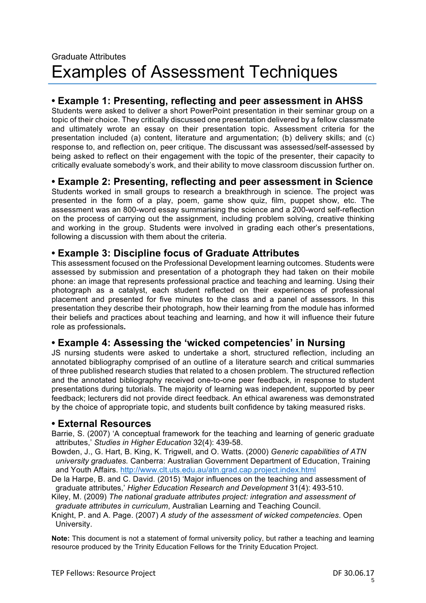# Graduate Attributes Examples of Assessment Techniques

# **• Example 1: Presenting, reflecting and peer assessment in AHSS**

Students were asked to deliver a short PowerPoint presentation in their seminar group on a topic of their choice. They critically discussed one presentation delivered by a fellow classmate and ultimately wrote an essay on their presentation topic. Assessment criteria for the presentation included (a) content, literature and argumentation; (b) delivery skills; and (c) response to, and reflection on, peer critique. The discussant was assessed/self-assessed by being asked to reflect on their engagement with the topic of the presenter, their capacity to critically evaluate somebody's work, and their ability to move classroom discussion further on.

# **• Example 2: Presenting, reflecting and peer assessment in Science**

Students worked in small groups to research a breakthrough in science. The project was presented in the form of a play, poem, game show quiz, film, puppet show, etc. The assessment was an 800-word essay summarising the science and a 200-word self-reflection on the process of carrying out the assignment, including problem solving, creative thinking and working in the group. Students were involved in grading each other's presentations, following a discussion with them about the criteria.

# **• Example 3: Discipline focus of Graduate Attributes**

This assessment focused on the Professional Development learning outcomes. Students were assessed by submission and presentation of a photograph they had taken on their mobile phone: an image that represents professional practice and teaching and learning. Using their photograph as a catalyst, each student reflected on their experiences of professional placement and presented for five minutes to the class and a panel of assessors. In this presentation they describe their photograph, how their learning from the module has informed their beliefs and practices about teaching and learning, and how it will influence their future role as professionals*.* 

# **• Example 4: Assessing the 'wicked competencies' in Nursing**

JS nursing students were asked to undertake a short, structured reflection, including an annotated bibliography comprised of an outline of a literature search and critical summaries of three published research studies that related to a chosen problem. The structured reflection and the annotated bibliography received one-to-one peer feedback, in response to student presentations during tutorials. The majority of learning was independent, supported by peer feedback; lecturers did not provide direct feedback. An ethical awareness was demonstrated by the choice of appropriate topic, and students built confidence by taking measured risks.

# **• External Resources**

Barrie, S. (2007) 'A conceptual framework for the teaching and learning of generic graduate attributes,' *Studies in Higher Education* 32(4): 439-58.

Bowden, J., G. Hart, B. King, K. Trigwell, and O. Watts. (2000) *Generic capabilities of ATN university graduates.* Canberra: Australian Government Department of Education, Training and Youth Affairs. http://www.clt.uts.edu.au/atn.grad.cap.project.index.html

De la Harpe, B. and C. David. (2015) 'Major influences on the teaching and assessment of graduate attributes,' *Higher Education Research and Development* 31(4): 493-510.

Kiley, M. (2009) *The national graduate attributes project: integration and assessment of graduate attributes in curriculum*, Australian Learning and Teaching Council.

Knight, P. and A. Page. (2007) *A study of the assessment of wicked competencies*. Open University.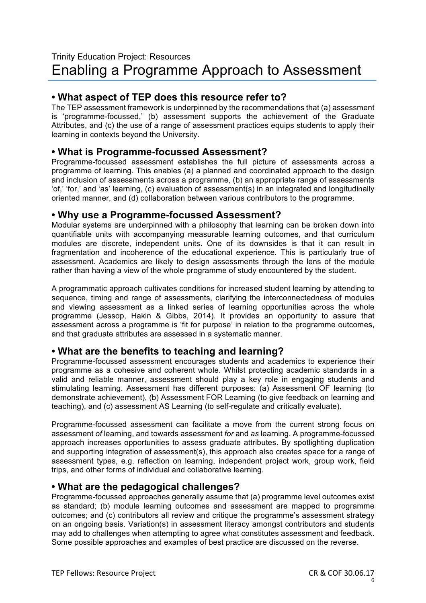# **• What aspect of TEP does this resource refer to?**

The TEP assessment framework is underpinned by the recommendations that (a) assessment is 'programme-focussed,' (b) assessment supports the achievement of the Graduate Attributes, and (c) the use of a range of assessment practices equips students to apply their learning in contexts beyond the University.

# **• What is Programme-focussed Assessment?**

Programme-focussed assessment establishes the full picture of assessments across a programme of learning. This enables (a) a planned and coordinated approach to the design and inclusion of assessments across a programme, (b) an appropriate range of assessments 'of,' 'for,' and 'as' learning, (c) evaluation of assessment(s) in an integrated and longitudinally oriented manner, and (d) collaboration between various contributors to the programme.

# **• Why use a Programme-focussed Assessment?**

Modular systems are underpinned with a philosophy that learning can be broken down into quantifiable units with accompanying measurable learning outcomes, and that curriculum modules are discrete, independent units. One of its downsides is that it can result in fragmentation and incoherence of the educational experience. This is particularly true of assessment. Academics are likely to design assessments through the lens of the module rather than having a view of the whole programme of study encountered by the student.

A programmatic approach cultivates conditions for increased student learning by attending to sequence, timing and range of assessments, clarifying the interconnectedness of modules and viewing assessment as a linked series of learning opportunities across the whole programme (Jessop, Hakin & Gibbs, 2014). It provides an opportunity to assure that assessment across a programme is 'fit for purpose' in relation to the programme outcomes, and that graduate attributes are assessed in a systematic manner.

# **• What are the benefits to teaching and learning?**

Programme-focussed assessment encourages students and academics to experience their programme as a cohesive and coherent whole. Whilst protecting academic standards in a valid and reliable manner, assessment should play a key role in engaging students and stimulating learning. Assessment has different purposes: (a) Assessment OF learning (to demonstrate achievement), (b) Assessment FOR Learning (to give feedback on learning and teaching), and (c) assessment AS Learning (to self-regulate and critically evaluate).

Programme-focussed assessment can facilitate a move from the current strong focus on assessment *of* learning, and towards assessment *for* and *as* learning. A programme-focussed approach increases opportunities to assess graduate attributes. By spotlighting duplication and supporting integration of assessment(s), this approach also creates space for a range of assessment types, e.g. reflection on learning, independent project work, group work, field trips, and other forms of individual and collaborative learning.

# **• What are the pedagogical challenges?**

Programme-focussed approaches generally assume that (a) programme level outcomes exist as standard; (b) module learning outcomes and assessment are mapped to programme outcomes; and (c) contributors all review and critique the programme's assessment strategy on an ongoing basis. Variation(s) in assessment literacy amongst contributors and students may add to challenges when attempting to agree what constitutes assessment and feedback. Some possible approaches and examples of best practice are discussed on the reverse.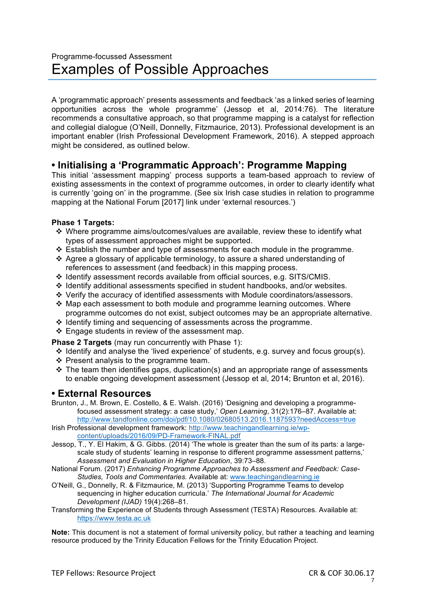A 'programmatic approach' presents assessments and feedback 'as a linked series of learning opportunities across the whole programme' (Jessop et al, 2014:76). The literature recommends a consultative approach, so that programme mapping is a catalyst for reflection and collegial dialogue (O'Neill, Donnelly, Fitzmaurice, 2013). Professional development is an important enabler (Irish Professional Development Framework, 2016). A stepped approach might be considered, as outlined below.

# **• Initialising a 'Programmatic Approach': Programme Mapping**

This initial 'assessment mapping' process supports a team-based approach to review of existing assessments in the context of programme outcomes, in order to clearly identify what is currently 'going on' in the programme. (See six Irish case studies in relation to programme mapping at the National Forum [2017] link under 'external resources.')

### **Phase 1 Targets:**

- v Where programme aims/outcomes/values are available, review these to identify what types of assessment approaches might be supported.
- $\div$  Establish the number and type of assessments for each module in the programme.
- $\triangleleft$  Agree a glossary of applicable terminology, to assure a shared understanding of references to assessment (and feedback) in this mapping process.
- v Identify assessment records available from official sources, e.g. SITS/CMIS.
- $\div$  Identify additional assessments specified in student handbooks, and/or websites.
- v Verify the accuracy of identified assessments with Module coordinators/assessors.
- $\div$  Map each assessment to both module and programme learning outcomes. Where programme outcomes do not exist, subject outcomes may be an appropriate alternative.
- $\cdot$  Identify timing and sequencing of assessments across the programme.
- $\div$  Engage students in review of the assessment map.

**Phase 2 Targets** (may run concurrently with Phase 1):

- v Identify and analyse the 'lived experience' of students, e.g. survey and focus group(s).
- $\div$  Present analysis to the programme team.
- $\cdot$  The team then identifies gaps, duplication(s) and an appropriate range of assessments to enable ongoing development assessment (Jessop et al, 2014; Brunton et al, 2016).

# **• External Resources**

Brunton, J., M. Brown, E. Costello, & E. Walsh. (2016) 'Designing and developing a programmefocused assessment strategy: a case study,' *Open Learning*, 31(2):176–87. Available at: http://www.tandfonline.com/doi/pdf/10.1080/02680513.2016.1187593?needAccess=true

Irish Professional development framework: http://www.teachingandlearning.ie/wpcontent/uploads/2016/09/PD-Framework-FINAL.pdf

- Jessop, T., Y. El Hakim, & G. Gibbs. (2014) 'The whole is greater than the sum of its parts: a largescale study of students' learning in response to different programme assessment patterns,' *Assessment and Evaluation in Higher Education*, 39:73–88.
- National Forum. (2017) *Enhancing Programme Approaches to Assessment and Feedback: Case-Studies, Tools and Commentaries.* Available at: www.teachingandlearning.ie
- O'Neill, G., Donnelly, R. & Fitzmaurice, M. (2013) 'Supporting Programme Teams to develop sequencing in higher education curricula.' *The International Journal for Academic Development (IJAD)* 19(4):268–81.
- Transforming the Experience of Students through Assessment (TESTA) Resources. Available at: https://www.testa.ac.uk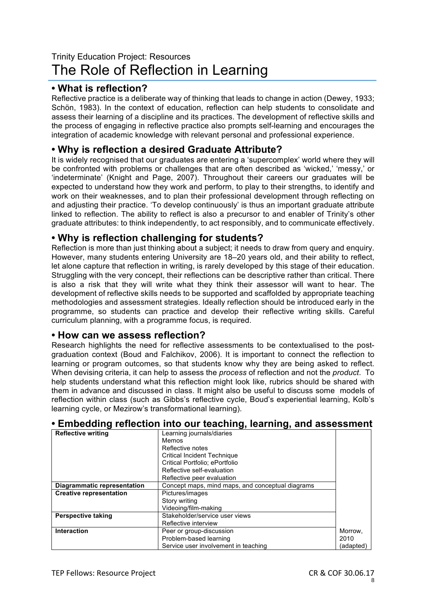# Trinity Education Project: Resources The Role of Reflection in Learning

# **• What is reflection?**

Reflective practice is a deliberate way of thinking that leads to change in action (Dewey, 1933; Schön, 1983). In the context of education, reflection can help students to consolidate and assess their learning of a discipline and its practices. The development of reflective skills and the process of engaging in reflective practice also prompts self-learning and encourages the integration of academic knowledge with relevant personal and professional experience.

# **• Why is reflection a desired Graduate Attribute?**

It is widely recognised that our graduates are entering a 'supercomplex' world where they will be confronted with problems or challenges that are often described as 'wicked,' 'messy,' or 'indeterminate' (Knight and Page, 2007). Throughout their careers our graduates will be expected to understand how they work and perform, to play to their strengths, to identify and work on their weaknesses, and to plan their professional development through reflecting on and adjusting their practice. 'To develop continuously' is thus an important graduate attribute linked to reflection. The ability to reflect is also a precursor to and enabler of Trinity's other graduate attributes: to think independently, to act responsibly, and to communicate effectively.

# **• Why is reflection challenging for students?**

Reflection is more than just thinking about a subject; it needs to draw from query and enquiry. However, many students entering University are 18–20 years old, and their ability to reflect, let alone capture that reflection in writing, is rarely developed by this stage of their education. Struggling with the very concept, their reflections can be descriptive rather than critical. There is also a risk that they will write what they think their assessor will want to hear. The development of reflective skills needs to be supported and scaffolded by appropriate teaching methodologies and assessment strategies. Ideally reflection should be introduced early in the programme, so students can practice and develop their reflective writing skills. Careful curriculum planning, with a programme focus, is required.

# **• How can we assess reflection?**

Research highlights the need for reflective assessments to be contextualised to the postgraduation context (Boud and Falchikov, 2006). It is important to connect the reflection to learning or program outcomes, so that students know why they are being asked to reflect. When devising criteria, it can help to assess the *process* of reflection and not the *product*. To help students understand what this reflection might look like, rubrics should be shared with them in advance and discussed in class. It might also be useful to discuss some models of reflection within class (such as Gibbs's reflective cycle, Boud's experiential learning, Kolb's learning cycle, or Mezirow's transformational learning).

| <b>Reflective writing</b>          | Learning journals/diaries                        |           |
|------------------------------------|--------------------------------------------------|-----------|
|                                    | Memos                                            |           |
|                                    | Reflective notes                                 |           |
|                                    | Critical Incident Technique                      |           |
|                                    | Critical Portfolio; ePortfolio                   |           |
|                                    | Reflective self-evaluation                       |           |
|                                    | Reflective peer evaluation                       |           |
| <b>Diagrammatic representation</b> | Concept maps, mind maps, and conceptual diagrams |           |
| <b>Creative representation</b>     | Pictures/images                                  |           |
|                                    | Story writing                                    |           |
|                                    | Videoing/film-making                             |           |
| <b>Perspective taking</b>          | Stakeholder/service user views                   |           |
|                                    | Reflective interview                             |           |
| <b>Interaction</b>                 | Peer or group-discussion                         | Morrow.   |
|                                    | Problem-based learning                           | 2010      |
|                                    | Service user involvement in teaching             | (adapted) |

# **• Embedding reflection into our teaching, learning, and assessment**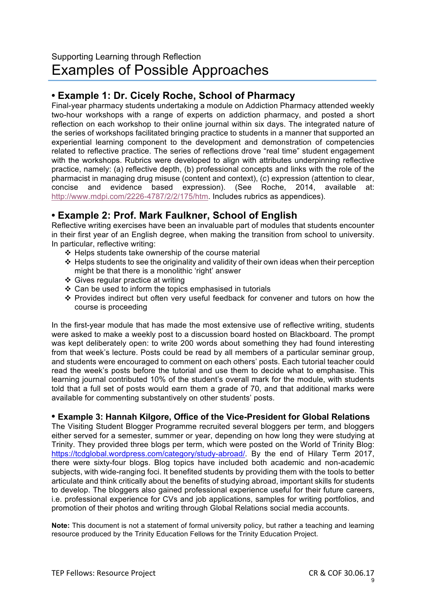# **• Example 1: Dr. Cicely Roche, School of Pharmacy**

Final-year pharmacy students undertaking a module on Addiction Pharmacy attended weekly two-hour workshops with a range of experts on addiction pharmacy, and posted a short reflection on each workshop to their online journal within six days. The integrated nature of the series of workshops facilitated bringing practice to students in a manner that supported an experiential learning component to the development and demonstration of competencies related to reflective practice. The series of reflections drove "real time" student engagement with the workshops. Rubrics were developed to align with attributes underpinning reflective practice, namely: (a) reflective depth, (b) professional concepts and links with the role of the pharmacist in managing drug misuse (content and context), (c) expression (attention to clear, concise and evidence based expression). (See Roche, 2014, available at: http://www.mdpi.com/2226-4787/2/2/175/htm. Includes rubrics as appendices).

# **• Example 2: Prof. Mark Faulkner, School of English**

Reflective writing exercises have been an invaluable part of modules that students encounter in their first year of an English degree, when making the transition from school to university. In particular, reflective writing:

- $\div$  Helps students take ownership of the course material
- $\cdot$  Helps students to see the originality and validity of their own ideas when their perception might be that there is a monolithic 'right' answer
- $\div$  Gives regular practice at writing
- $\div$  Can be used to inform the topics emphasised in tutorials
- $\div$  Provides indirect but often very useful feedback for convener and tutors on how the course is proceeding

In the first-year module that has made the most extensive use of reflective writing, students were asked to make a weekly post to a discussion board hosted on Blackboard. The prompt was kept deliberately open: to write 200 words about something they had found interesting from that week's lecture. Posts could be read by all members of a particular seminar group, and students were encouraged to comment on each others' posts. Each tutorial teacher could read the week's posts before the tutorial and use them to decide what to emphasise. This learning journal contributed 10% of the student's overall mark for the module, with students told that a full set of posts would earn them a grade of 70, and that additional marks were available for commenting substantively on other students' posts.

### **• Example 3: Hannah Kilgore, Office of the Vice-President for Global Relations**

The Visiting Student Blogger Programme recruited several bloggers per term, and bloggers either served for a semester, summer or year, depending on how long they were studying at Trinity. They provided three blogs per term, which were posted on the World of Trinity Blog: https://tcdglobal.wordpress.com/category/study-abroad/. By the end of Hilary Term 2017, there were sixty-four blogs. Blog topics have included both academic and non-academic subjects, with wide-ranging foci. It benefited students by providing them with the tools to better articulate and think critically about the benefits of studying abroad, important skills for students to develop. The bloggers also gained professional experience useful for their future careers, i.e. professional experience for CVs and job applications, samples for writing portfolios, and promotion of their photos and writing through Global Relations social media accounts.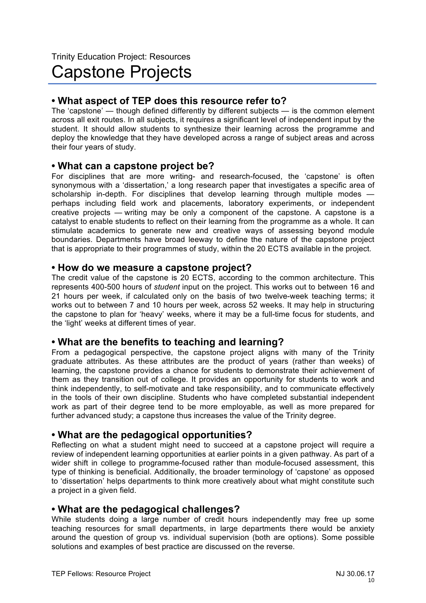# **• What aspect of TEP does this resource refer to?**

The 'capstone' — though defined differently by different subjects — is the common element across all exit routes. In all subjects, it requires a significant level of independent input by the student. It should allow students to synthesize their learning across the programme and deploy the knowledge that they have developed across a range of subject areas and across their four years of study.

# **• What can a capstone project be?**

For disciplines that are more writing- and research-focused, the 'capstone' is often synonymous with a 'dissertation,' a long research paper that investigates a specific area of scholarship in-depth. For disciplines that develop learning through multiple modes perhaps including field work and placements, laboratory experiments, or independent creative projects — writing may be only a component of the capstone. A capstone is a catalyst to enable students to reflect on their learning from the programme as a whole. It can stimulate academics to generate new and creative ways of assessing beyond module boundaries. Departments have broad leeway to define the nature of the capstone project that is appropriate to their programmes of study, within the 20 ECTS available in the project.

### **• How do we measure a capstone project?**

The credit value of the capstone is 20 ECTS, according to the common architecture. This represents 400-500 hours of *student* input on the project. This works out to between 16 and 21 hours per week, if calculated only on the basis of two twelve-week teaching terms; it works out to between 7 and 10 hours per week, across 52 weeks. It may help in structuring the capstone to plan for 'heavy' weeks, where it may be a full-time focus for students, and the 'light' weeks at different times of year.

# **• What are the benefits to teaching and learning?**

From a pedagogical perspective, the capstone project aligns with many of the Trinity graduate attributes. As these attributes are the product of years (rather than weeks) of learning, the capstone provides a chance for students to demonstrate their achievement of them as they transition out of college. It provides an opportunity for students to work and think independently, to self-motivate and take responsibility, and to communicate effectively in the tools of their own discipline. Students who have completed substantial independent work as part of their degree tend to be more employable, as well as more prepared for further advanced study; a capstone thus increases the value of the Trinity degree.

# **• What are the pedagogical opportunities?**

Reflecting on what a student might need to succeed at a capstone project will require a review of independent learning opportunities at earlier points in a given pathway. As part of a wider shift in college to programme-focused rather than module-focused assessment, this type of thinking is beneficial. Additionally, the broader terminology of 'capstone' as opposed to 'dissertation' helps departments to think more creatively about what might constitute such a project in a given field.

# **• What are the pedagogical challenges?**

While students doing a large number of credit hours independently may free up some teaching resources for small departments, in large departments there would be anxiety around the question of group vs. individual supervision (both are options). Some possible solutions and examples of best practice are discussed on the reverse.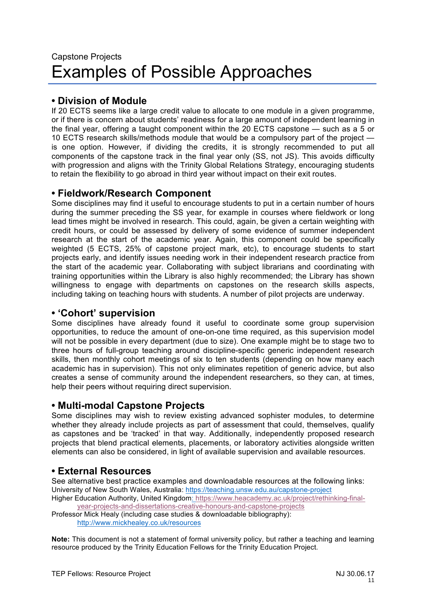# **• Division of Module**

If 20 ECTS seems like a large credit value to allocate to one module in a given programme, or if there is concern about students' readiness for a large amount of independent learning in the final year, offering a taught component within the 20 ECTS capstone — such as a 5 or 10 ECTS research skills/methods module that would be a compulsory part of the project is one option. However, if dividing the credits, it is strongly recommended to put all components of the capstone track in the final year only (SS, not JS). This avoids difficulty with progression and aligns with the Trinity Global Relations Strategy, encouraging students to retain the flexibility to go abroad in third year without impact on their exit routes.

# **• Fieldwork/Research Component**

Some disciplines may find it useful to encourage students to put in a certain number of hours during the summer preceding the SS year, for example in courses where fieldwork or long lead times might be involved in research. This could, again, be given a certain weighting with credit hours, or could be assessed by delivery of some evidence of summer independent research at the start of the academic year. Again, this component could be specifically weighted (5 ECTS, 25% of capstone project mark, etc), to encourage students to start projects early, and identify issues needing work in their independent research practice from the start of the academic year. Collaborating with subject librarians and coordinating with training opportunities within the Library is also highly recommended; the Library has shown willingness to engage with departments on capstones on the research skills aspects, including taking on teaching hours with students. A number of pilot projects are underway.

# **• 'Cohort' supervision**

Some disciplines have already found it useful to coordinate some group supervision opportunities, to reduce the amount of one-on-one time required, as this supervision model will not be possible in every department (due to size). One example might be to stage two to three hours of full-group teaching around discipline-specific generic independent research skills, then monthly cohort meetings of six to ten students (depending on how many each academic has in supervision). This not only eliminates repetition of generic advice, but also creates a sense of community around the independent researchers, so they can, at times, help their peers without requiring direct supervision.

# **• Multi-modal Capstone Projects**

Some disciplines may wish to review existing advanced sophister modules, to determine whether they already include projects as part of assessment that could, themselves, qualify as capstones and be 'tracked' in that way. Additionally, independently proposed research projects that blend practical elements, placements, or laboratory activities alongside written elements can also be considered, in light of available supervision and available resources.

# **• External Resources**

See alternative best practice examples and downloadable resources at the following links: University of New South Wales, Australia: https://teaching.unsw.edu.au/capstone-project Higher Education Authority, United Kingdom: https://www.heacademy.ac.uk/project/rethinking-finalyear-projects-and-dissertations-creative-honours-and-capstone-projects

Professor Mick Healy (including case studies & downloadable bibliography): http://www.mickhealey.co.uk/resources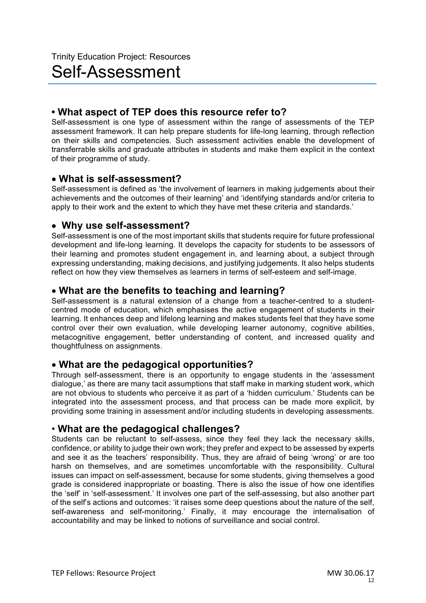# **• What aspect of TEP does this resource refer to?**

Self-assessment is one type of assessment within the range of assessments of the TEP assessment framework. It can help prepare students for life-long learning, through reflection on their skills and competencies. Such assessment activities enable the development of transferrable skills and graduate attributes in students and make them explicit in the context of their programme of study.

# • **What is self-assessment?**

Self-assessment is defined as 'the involvement of learners in making judgements about their achievements and the outcomes of their learning' and 'identifying standards and/or criteria to apply to their work and the extent to which they have met these criteria and standards.'

# • **Why use self-assessment?**

Self-assessment is one of the most important skills that students require for future professional development and life-long learning. It develops the capacity for students to be assessors of their learning and promotes student engagement in, and learning about, a subject through expressing understanding, making decisions, and justifying judgements. It also helps students reflect on how they view themselves as learners in terms of self-esteem and self-image.

# • **What are the benefits to teaching and learning?**

Self-assessment is a natural extension of a change from a teacher-centred to a studentcentred mode of education, which emphasises the active engagement of students in their learning. It enhances deep and lifelong learning and makes students feel that they have some control over their own evaluation, while developing learner autonomy, cognitive abilities, metacognitive engagement, better understanding of content, and increased quality and thoughtfulness on assignments.

# • **What are the pedagogical opportunities?**

Through self-assessment, there is an opportunity to engage students in the 'assessment dialogue,' as there are many tacit assumptions that staff make in marking student work, which are not obvious to students who perceive it as part of a 'hidden curriculum.' Students can be integrated into the assessment process, and that process can be made more explicit, by providing some training in assessment and/or including students in developing assessments.

# • **What are the pedagogical challenges?**

Students can be reluctant to self-assess, since they feel they lack the necessary skills, confidence, or ability to judge their own work; they prefer and expect to be assessed by experts and see it as the teachers' responsibility. Thus, they are afraid of being 'wrong' or are too harsh on themselves, and are sometimes uncomfortable with the responsibility. Cultural issues can impact on self-assessment, because for some students, giving themselves a good grade is considered inappropriate or boasting. There is also the issue of how one identifies the 'self' in 'self-assessment.' It involves one part of the self-assessing, but also another part of the self's actions and outcomes: 'it raises some deep questions about the nature of the self, self-awareness and self-monitoring.' Finally, it may encourage the internalisation of accountability and may be linked to notions of surveillance and social control.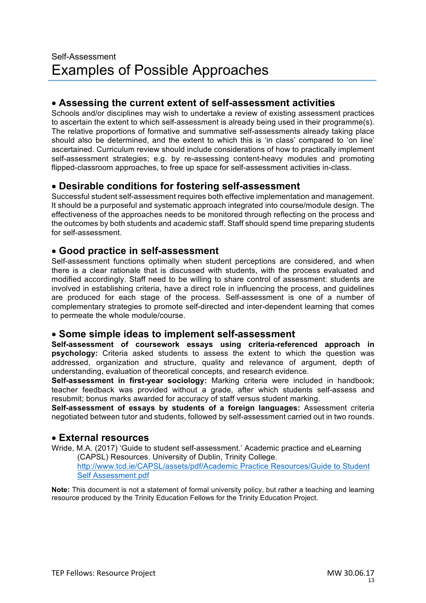# • **Assessing the current extent of self-assessment activities**

Schools and/or disciplines may wish to undertake a review of existing assessment practices to ascertain the extent to which self-assessment is already being used in their programme(s). The relative proportions of formative and summative self-assessments already taking place should also be determined, and the extent to which this is 'in class' compared to 'on line' ascertained. Curriculum review should include considerations of how to practically implement self-assessment strategies; e.g. by re-assessing content-heavy modules and promoting flipped-classroom approaches, to free up space for self-assessment activities in-class.

# • **Desirable conditions for fostering self-assessment**

Successful student self-assessment requires both effective implementation and management. It should be a purposeful and systematic approach integrated into course/module design. The effectiveness of the approaches needs to be monitored through reflecting on the process and the outcomes by both students and academic staff. Staff should spend time preparing students for self-assessment.

# • **Good practice in self-assessment**

Self-assessment functions optimally when student perceptions are considered, and when there is a clear rationale that is discussed with students, with the process evaluated and modified accordingly. Staff need to be willing to share control of assessment: students are involved in establishing criteria, have a direct role in influencing the process, and guidelines are produced for each stage of the process. Self-assessment is one of a number of complementary strategies to promote self-directed and inter-dependent learning that comes to permeate the whole module/course.

# • **Some simple ideas to implement self-assessment**

**Self-assessment of coursework essays using criteria-referenced approach in psychology:** Criteria asked students to assess the extent to which the question was addressed, organization and structure, quality and relevance of argument, depth of understanding, evaluation of theoretical concepts, and research evidence.

**Self-assessment in first-year sociology:** Marking criteria were included in handbook; teacher feedback was provided without a grade, after which students self-assess and resubmit; bonus marks awarded for accuracy of staff versus student marking.

**Self-assessment of essays by students of a foreign languages:** Assessment criteria negotiated between tutor and students, followed by self-assessment carried out in two rounds.

# • **External resources**

Wride, M.A. (2017) 'Guide to student self-assessment.' Academic practice and eLearning (CAPSL) Resources. University of Dublin, Trinity College.

http://www.tcd.ie/CAPSL/assets/pdf/Academic Practice Resources/Guide to Student Self Assessment.pdf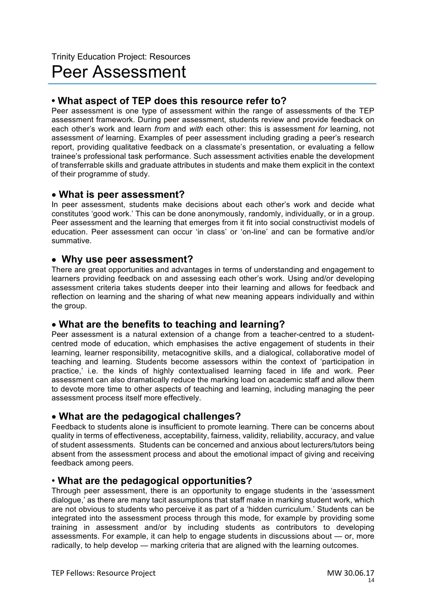# Peer Assessment

# **• What aspect of TEP does this resource refer to?**

Peer assessment is one type of assessment within the range of assessments of the TEP assessment framework. During peer assessment, students review and provide feedback on each other's work and learn *from* and *with* each other: this is assessment *for* learning, not assessment *of* learning. Examples of peer assessment including grading a peer's research report, providing qualitative feedback on a classmate's presentation, or evaluating a fellow trainee's professional task performance. Such assessment activities enable the development of transferrable skills and graduate attributes in students and make them explicit in the context of their programme of study.

# • **What is peer assessment?**

In peer assessment, students make decisions about each other's work and decide what constitutes 'good work.' This can be done anonymously, randomly, individually, or in a group. Peer assessment and the learning that emerges from it fit into social constructivist models of education. Peer assessment can occur 'in class' or 'on-line' and can be formative and/or summative.

# • **Why use peer assessment?**

There are great opportunities and advantages in terms of understanding and engagement to learners providing feedback on and assessing each other's work. Using and/or developing assessment criteria takes students deeper into their learning and allows for feedback and reflection on learning and the sharing of what new meaning appears individually and within the group.

# • **What are the benefits to teaching and learning?**

Peer assessment is a natural extension of a change from a teacher-centred to a studentcentred mode of education, which emphasises the active engagement of students in their learning, learner responsibility, metacognitive skills, and a dialogical, collaborative model of teaching and learning. Students become assessors within the context of 'participation in practice,' i.e. the kinds of highly contextualised learning faced in life and work. Peer assessment can also dramatically reduce the marking load on academic staff and allow them to devote more time to other aspects of teaching and learning, including managing the peer assessment process itself more effectively.

# • **What are the pedagogical challenges?**

Feedback to students alone is insufficient to promote learning. There can be concerns about quality in terms of effectiveness, acceptability, fairness, validity, reliability, accuracy, and value of student assessments. Students can be concerned and anxious about lecturers/tutors being absent from the assessment process and about the emotional impact of giving and receiving feedback among peers.

# • **What are the pedagogical opportunities?**

Through peer assessment, there is an opportunity to engage students in the 'assessment dialogue,' as there are many tacit assumptions that staff make in marking student work, which are not obvious to students who perceive it as part of a 'hidden curriculum.' Students can be integrated into the assessment process through this mode, for example by providing some training in assessment and/or by including students as contributors to developing assessments. For example, it can help to engage students in discussions about — or, more radically, to help develop — marking criteria that are aligned with the learning outcomes.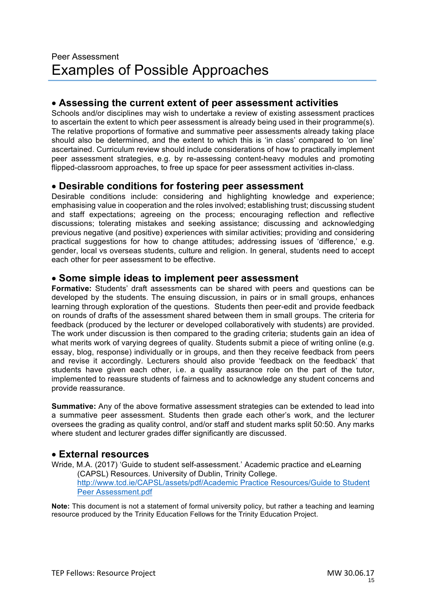# • **Assessing the current extent of peer assessment activities**

Schools and/or disciplines may wish to undertake a review of existing assessment practices to ascertain the extent to which peer assessment is already being used in their programme(s). The relative proportions of formative and summative peer assessments already taking place should also be determined, and the extent to which this is 'in class' compared to 'on line' ascertained. Curriculum review should include considerations of how to practically implement peer assessment strategies, e.g. by re-assessing content-heavy modules and promoting flipped-classroom approaches, to free up space for peer assessment activities in-class.

# • **Desirable conditions for fostering peer assessment**

Desirable conditions include: considering and highlighting knowledge and experience; emphasising value in cooperation and the roles involved; establishing trust; discussing student and staff expectations; agreeing on the process; encouraging reflection and reflective discussions; tolerating mistakes and seeking assistance; discussing and acknowledging previous negative (and positive) experiences with similar activities; providing and considering practical suggestions for how to change attitudes; addressing issues of 'difference,' e.g. gender, local vs overseas students, culture and religion. In general, students need to accept each other for peer assessment to be effective.

# • **Some simple ideas to implement peer assessment**

**Formative:** Students' draft assessments can be shared with peers and questions can be developed by the students. The ensuing discussion, in pairs or in small groups, enhances learning through exploration of the questions. Students then peer-edit and provide feedback on rounds of drafts of the assessment shared between them in small groups. The criteria for feedback (produced by the lecturer or developed collaboratively with students) are provided. The work under discussion is then compared to the grading criteria; students gain an idea of what merits work of varying degrees of quality. Students submit a piece of writing online (e.g. essay, blog, response) individually or in groups, and then they receive feedback from peers and revise it accordingly. Lecturers should also provide 'feedback on the feedback' that students have given each other, i.e. a quality assurance role on the part of the tutor, implemented to reassure students of fairness and to acknowledge any student concerns and provide reassurance.

**Summative:** Any of the above formative assessment strategies can be extended to lead into a summative peer assessment. Students then grade each other's work, and the lecturer oversees the grading as quality control, and/or staff and student marks split 50:50. Any marks where student and lecturer grades differ significantly are discussed.

# • **External resources**

Wride, M.A. (2017) 'Guide to student self-assessment.' Academic practice and eLearning (CAPSL) Resources. University of Dublin, Trinity College. http://www.tcd.ie/CAPSL/assets/pdf/Academic Practice Resources/Guide to Student Peer Assessment.pdf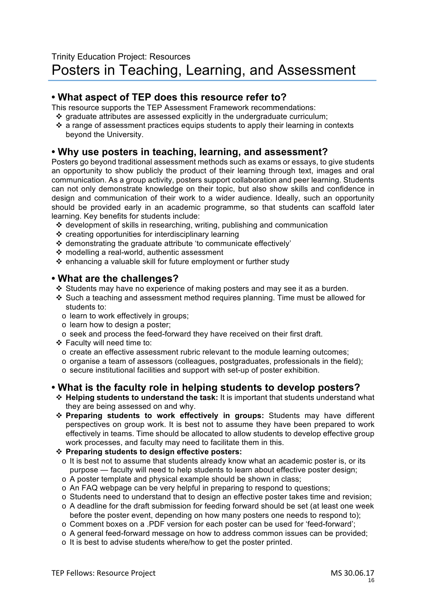# **• What aspect of TEP does this resource refer to?**

This resource supports the TEP Assessment Framework recommendations:

- $\cdot$  araduate attributes are assessed explicitly in the undergraduate curriculum;
- $\cdot$  a range of assessment practices equips students to apply their learning in contexts beyond the University.

# **• Why use posters in teaching, learning, and assessment?**

Posters go beyond traditional assessment methods such as exams or essays, to give students an opportunity to show publicly the product of their learning through text, images and oral communication. As a group activity, posters support collaboration and peer learning. Students can not only demonstrate knowledge on their topic, but also show skills and confidence in design and communication of their work to a wider audience. Ideally, such an opportunity should be provided early in an academic programme, so that students can scaffold later learning. Key benefits for students include:

- v development of skills in researching, writing, publishing and communication
- $\div$  creating opportunities for interdisciplinary learning
- $\cdot$  demonstrating the graduate attribute 'to communicate effectively'
- v modelling a real-world, authentic assessment
- $\div$  enhancing a valuable skill for future employment or further study

# **• What are the challenges?**

- $\div$  Students may have no experience of making posters and may see it as a burden.
- $\div$  Such a teaching and assessment method requires planning. Time must be allowed for students to:
	- o learn to work effectively in groups;
	- o learn how to design a poster;
	- o seek and process the feed-forward they have received on their first draft.
- v Faculty will need time to:
	- o create an effective assessment rubric relevant to the module learning outcomes;
	- $\circ$  organise a team of assessors (colleagues, postgraduates, professionals in the field);
	- o secure institutional facilities and support with set-up of poster exhibition.

# **• What is the faculty role in helping students to develop posters?**

- v **Helping students to understand the task:** It is important that students understand what they are being assessed on and why.
- v **Preparing students to work effectively in groups:** Students may have different perspectives on group work. It is best not to assume they have been prepared to work effectively in teams. Time should be allocated to allow students to develop effective group work processes, and faculty may need to facilitate them in this.
- v **Preparing students to design effective posters:**
	- o It is best not to assume that students already know what an academic poster is, or its purpose — faculty will need to help students to learn about effective poster design;
	- o A poster template and physical example should be shown in class;
	- o An FAQ webpage can be very helpful in preparing to respond to questions;
	- o Students need to understand that to design an effective poster takes time and revision;
	- o A deadline for the draft submission for feeding forward should be set (at least one week before the poster event, depending on how many posters one needs to respond to);
	- o Comment boxes on a .PDF version for each poster can be used for 'feed-forward';
	- o A general feed-forward message on how to address common issues can be provided;
	- o It is best to advise students where/how to get the poster printed.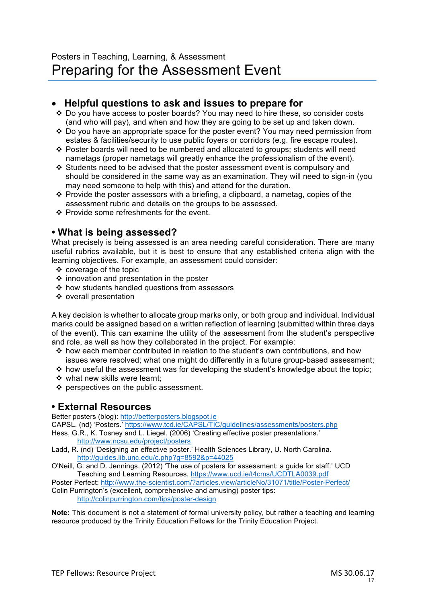# • **Helpful questions to ask and issues to prepare for**

- v Do you have access to poster boards? You may need to hire these, so consider costs (and who will pay), and when and how they are going to be set up and taken down.
- v Do you have an appropriate space for the poster event? You may need permission from estates & facilities/security to use public foyers or corridors (e.g. fire escape routes).
- \* Poster boards will need to be numbered and allocated to groups; students will need nametags (proper nametags will greatly enhance the professionalism of the event).
- $\cdot$  Students need to be advised that the poster assessment event is compulsory and should be considered in the same way as an examination. They will need to sign-in (you may need someone to help with this) and attend for the duration.
- $\cdot$  Provide the poster assessors with a briefing, a clipboard, a nametag, copies of the assessment rubric and details on the groups to be assessed.
- $\div$  Provide some refreshments for the event.

# **• What is being assessed?**

What precisely is being assessed is an area needing careful consideration. There are many useful rubrics available, but it is best to ensure that any established criteria align with the learning objectives. For example, an assessment could consider:

- $\div$  coverage of the topic
- $\div$  innovation and presentation in the poster
- $\div$  how students handled questions from assessors
- v overall presentation

A key decision is whether to allocate group marks only, or both group and individual. Individual marks could be assigned based on a written reflection of learning (submitted within three days of the event). This can examine the utility of the assessment from the student's perspective and role, as well as how they collaborated in the project. For example:

- $\cdot \cdot$  how each member contributed in relation to the student's own contributions, and how issues were resolved; what one might do differently in a future group-based assessment;
- $\cdot$  how useful the assessment was for developing the student's knowledge about the topic;
- ❖ what new skills were learnt;
- $\div$  perspectives on the public assessment.

# **• External Resources**

Better posters (blog): http://betterposters.blogspot.ie

CAPSL. (nd) 'Posters.' https://www.tcd.ie/CAPSL/TIC/guidelines/assessments/posters.php

- Hess, G.R., K. Tosney and L. Liegel. (2006) 'Creating effective poster presentations.' http://www.ncsu.edu/project/posters
- Ladd, R. (nd) 'Designing an effective poster.' Health Sciences Library, U. North Carolina. http://guides.lib.unc.edu/c.php?g=8592&p=44025
- O'Neill, G. and D. Jennings. (2012) 'The use of posters for assessment: a guide for staff.' UCD Teaching and Learning Resources. https://www.ucd.ie/t4cms/UCDTLA0039.pdf

Poster Perfect: http://www.the-scientist.com/?articles.view/articleNo/31071/title/Poster-Perfect/

Colin Purrington's (excellent, comprehensive and amusing) poster tips: http://colinpurrington.com/tips/poster-design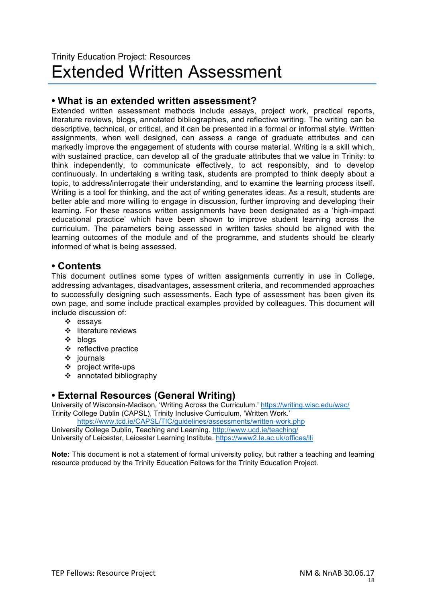# Trinity Education Project: Resources Extended Written Assessment

# **• What is an extended written assessment?**

Extended written assessment methods include essays, project work, practical reports, literature reviews, blogs, annotated bibliographies, and reflective writing. The writing can be descriptive, technical, or critical, and it can be presented in a formal or informal style. Written assignments, when well designed, can assess a range of graduate attributes and can markedly improve the engagement of students with course material. Writing is a skill which, with sustained practice, can develop all of the graduate attributes that we value in Trinity: to think independently, to communicate effectively, to act responsibly, and to develop continuously. In undertaking a writing task, students are prompted to think deeply about a topic, to address/interrogate their understanding, and to examine the learning process itself. Writing is a tool for thinking, and the act of writing generates ideas. As a result, students are better able and more willing to engage in discussion, further improving and developing their learning. For these reasons written assignments have been designated as a 'high-impact educational practice' which have been shown to improve student learning across the curriculum. The parameters being assessed in written tasks should be aligned with the learning outcomes of the module and of the programme, and students should be clearly informed of what is being assessed.

# **• Contents**

This document outlines some types of written assignments currently in use in College, addressing advantages, disadvantages, assessment criteria, and recommended approaches to successfully designing such assessments. Each type of assessment has been given its own page, and some include practical examples provided by colleagues. This document will include discussion of:

- $\div$  essavs
- ❖ literature reviews
- $\div$  blogs
- $\div$  reflective practice
- $\div$  journals
- $\div$  project write-ups
- $\div$  annotated bibliography

# **• External Resources (General Writing)**

University of Wisconsin-Madison, 'Writing Across the Curriculum.' https://writing.wisc.edu/wac/ Trinity College Dublin (CAPSL), Trinity Inclusive Curriculum, 'Written Work.'

https://www.tcd.ie/CAPSL/TIC/guidelines/assessments/written-work.php University College Dublin, Teaching and Learning. http://www.ucd.ie/teaching/ University of Leicester, Leicester Learning Institute. https://www2.le.ac.uk/offices/lli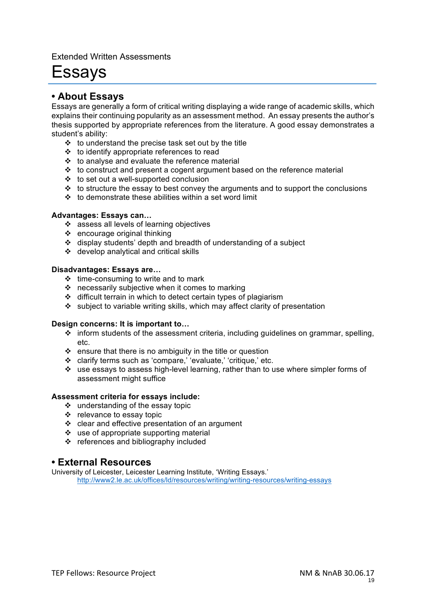Extended Written Assessments

# Essays

# **• About Essays**

Essays are generally a form of critical writing displaying a wide range of academic skills, which explains their continuing popularity as an assessment method. An essay presents the author's thesis supported by appropriate references from the literature. A good essay demonstrates a student's ability:

- $\div$  to understand the precise task set out by the title
- $\div$  to identify appropriate references to read
- $\div$  to analyse and evaluate the reference material
- $\cdot \cdot$  to construct and present a cogent argument based on the reference material
- $\div$  to set out a well-supported conclusion
- $\cdot\cdot\cdot$  to structure the essay to best convey the arguments and to support the conclusions
- $\div$  to demonstrate these abilities within a set word limit

#### **Advantages: Essays can…**

- ❖ assess all levels of learning objectives
- $\div$  encourage original thinking
- $\div$  display students' depth and breadth of understanding of a subject
- $\div$  develop analytical and critical skills

#### **Disadvantages: Essays are…**

- $\div$  time-consuming to write and to mark
- $\cdot$  necessarily subjective when it comes to marking
- $\div$  difficult terrain in which to detect certain types of plagiarism
- $\cdot$  subject to variable writing skills, which may affect clarity of presentation

#### **Design concerns: It is important to…**

- $\div$  inform students of the assessment criteria, including guidelines on grammar, spelling, etc.
- $\cdot \cdot$  ensure that there is no ambiguity in the title or question
- v clarify terms such as 'compare,' 'evaluate,' 'critique,' etc.
- $\cdot$  use essays to assess high-level learning, rather than to use where simpler forms of assessment might suffice

#### **Assessment criteria for essays include:**

- $\div$  understanding of the essay topic
- $\div$  relevance to essay topic
- $\div$  clear and effective presentation of an argument
- $\cdot$  use of appropriate supporting material
- $\div$  references and bibliography included

### **• External Resources**

University of Leicester, Leicester Learning Institute, 'Writing Essays.' http://www2.le.ac.uk/offices/ld/resources/writing/writing-resources/writing-essays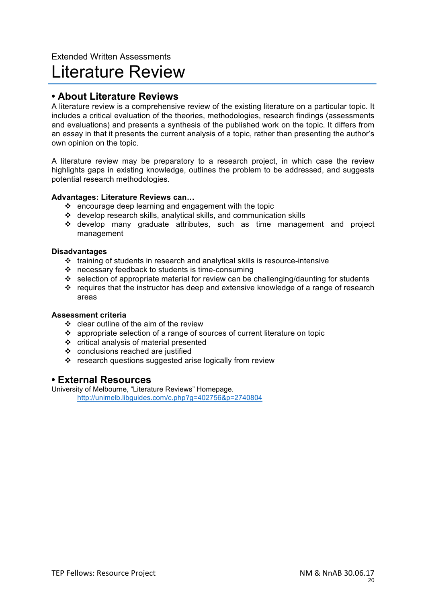# Extended Written Assessments Literature Review

# **• About Literature Reviews**

A literature review is a comprehensive review of the existing literature on a particular topic. It includes a critical evaluation of the theories, methodologies, research findings (assessments and evaluations) and presents a synthesis of the published work on the topic. It differs from an essay in that it presents the current analysis of a topic, rather than presenting the author's own opinion on the topic.

A literature review may be preparatory to a research project, in which case the review highlights gaps in existing knowledge, outlines the problem to be addressed, and suggests potential research methodologies.

### **Advantages: Literature Reviews can…**

- $\div$  encourage deep learning and engagement with the topic
- $\div$  develop research skills, analytical skills, and communication skills
- \* develop many graduate attributes, such as time management and project management

#### **Disadvantages**

- $\cdot$  training of students in research and analytical skills is resource-intensive
- $\cdot \cdot$  necessary feedback to students is time-consuming
- $\cdot$  selection of appropriate material for review can be challenging/daunting for students
- $\cdot \cdot$  requires that the instructor has deep and extensive knowledge of a range of research areas

#### **Assessment criteria**

- $\div$  clear outline of the aim of the review
- $\cdot$  appropriate selection of a range of sources of current literature on topic
- $\div$  critical analysis of material presented
- ❖ conclusions reached are justified
- $\cdot \cdot$  research questions suggested arise logically from review

### **• External Resources**

University of Melbourne, "Literature Reviews" Homepage. http://unimelb.libguides.com/c.php?g=402756&p=2740804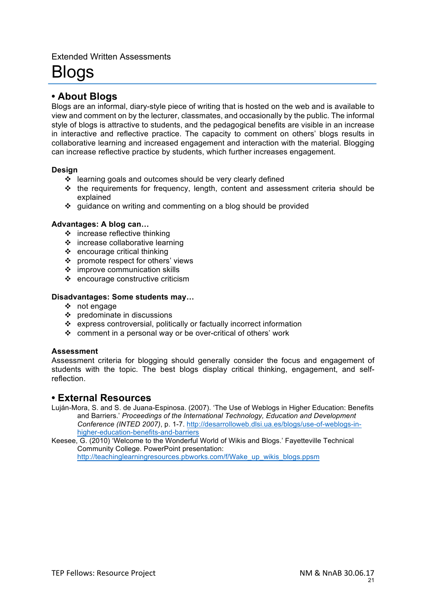### Extended Written Assessments

# Blogs

# **• About Blogs**

Blogs are an informal, diary-style piece of writing that is hosted on the web and is available to view and comment on by the lecturer, classmates, and occasionally by the public. The informal style of blogs is attractive to students, and the pedagogical benefits are visible in an increase in interactive and reflective practice. The capacity to comment on others' blogs results in collaborative learning and increased engagement and interaction with the material. Blogging can increase reflective practice by students, which further increases engagement.

### **Design**

- $\div$  learning goals and outcomes should be very clearly defined
- $\div$  the requirements for frequency, length, content and assessment criteria should be explained
- v guidance on writing and commenting on a blog should be provided

### **Advantages: A blog can…**

- $\div$  increase reflective thinking
- $\div$  increase collaborative learning
- $\div$  encourage critical thinking
- $\div$  promote respect for others' views
- $\cdot$  improve communication skills
- $\div$  encourage constructive criticism

### **Disadvantages: Some students may…**

- $\div$  not engage
- $\div$  predominate in discussions
- v express controversial, politically or factually incorrect information
- $\div$  comment in a personal way or be over-critical of others' work

### **Assessment**

Assessment criteria for blogging should generally consider the focus and engagement of students with the topic. The best blogs display critical thinking, engagement, and selfreflection.

# **• External Resources**

Luján-Mora, S. and S. de Juana-Espinosa. (2007). 'The Use of Weblogs in Higher Education: Benefits and Barriers.' *Proceedings of the International Technology, Education and Development Conference (INTED 2007)*, p. 1-7. http://desarrolloweb.dlsi.ua.es/blogs/use-of-weblogs-inhigher-education-benefits-and-barriers

Keesee, G. (2010) 'Welcome to the Wonderful World of Wikis and Blogs.' Fayetteville Technical Community College. PowerPoint presentation:

http://teachinglearningresources.pbworks.com/f/Wake\_up\_wikis\_blogs.ppsm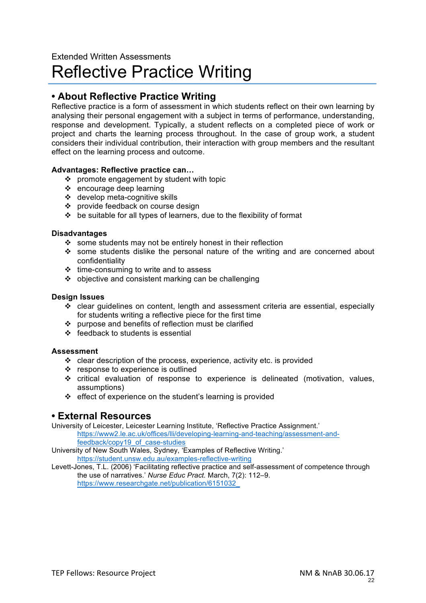# Extended Written Assessments Reflective Practice Writing

# **• About Reflective Practice Writing**

Reflective practice is a form of assessment in which students reflect on their own learning by analysing their personal engagement with a subject in terms of performance, understanding, response and development. Typically, a student reflects on a completed piece of work or project and charts the learning process throughout. In the case of group work, a student considers their individual contribution, their interaction with group members and the resultant effect on the learning process and outcome.

### **Advantages: Reflective practice can…**

- $\div$  promote engagement by student with topic
- $\div$  encourage deep learning
- v develop meta-cognitive skills
- ❖ provide feedback on course design
- $\div$  be suitable for all types of learners, due to the flexibility of format

### **Disadvantages**

- $\div$  some students may not be entirely honest in their reflection
- some students dislike the personal nature of the writing and are concerned about confidentiality
- $\cdot \cdot$  time-consuming to write and to assess
- $\div$  objective and consistent marking can be challenging

### **Design Issues**

- $\div$  clear guidelines on content, length and assessment criteria are essential, especially for students writing a reflective piece for the first time
- $\div$  purpose and benefits of reflection must be clarified
- $\div$  feedback to students is essential

### **Assessment**

- $\cdot$  clear description of the process, experience, activity etc. is provided
- ❖ response to experience is outlined
- $\cdot$  critical evaluation of response to experience is delineated (motivation, values, assumptions)
- $\div$  effect of experience on the student's learning is provided

# **• External Resources**

University of Leicester, Leicester Learning Institute, 'Reflective Practice Assignment.' https://www2.le.ac.uk/offices/lli/developing-learning-and-teaching/assessment-andfeedback/copy19\_of\_case-studies

University of New South Wales, Sydney, 'Examples of Reflective Writing.' https://student.unsw.edu.au/examples-reflective-writing

Levett-Jones, T.L. (2006) 'Facilitating reflective practice and self-assessment of competence through the use of narratives.' *Nurse Educ Pract.* March, 7(2): 112–9. https://www.researchgate.net/publication/6151032\_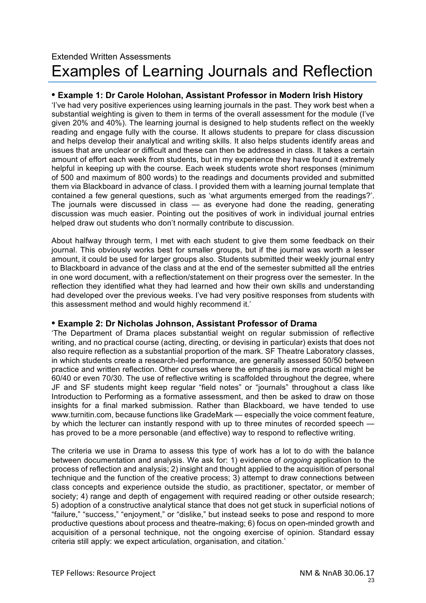# Extended Written Assessments Examples of Learning Journals and Reflection

### **• Example 1: Dr Carole Holohan, Assistant Professor in Modern Irish History**

'I've had very positive experiences using learning journals in the past. They work best when a substantial weighting is given to them in terms of the overall assessment for the module (I've given 20% and 40%). The learning journal is designed to help students reflect on the weekly reading and engage fully with the course. It allows students to prepare for class discussion and helps develop their analytical and writing skills. It also helps students identify areas and issues that are unclear or difficult and these can then be addressed in class. It takes a certain amount of effort each week from students, but in my experience they have found it extremely helpful in keeping up with the course. Each week students wrote short responses (minimum of 500 and maximum of 800 words) to the readings and documents provided and submitted them via Blackboard in advance of class. I provided them with a learning journal template that contained a few general questions, such as 'what arguments emerged from the readings?'. The journals were discussed in class — as everyone had done the reading, generating discussion was much easier. Pointing out the positives of work in individual journal entries helped draw out students who don't normally contribute to discussion.

About halfway through term, I met with each student to give them some feedback on their journal. This obviously works best for smaller groups, but if the journal was worth a lesser amount, it could be used for larger groups also. Students submitted their weekly journal entry to Blackboard in advance of the class and at the end of the semester submitted all the entries in one word document, with a reflection/statement on their progress over the semester. In the reflection they identified what they had learned and how their own skills and understanding had developed over the previous weeks. I've had very positive responses from students with this assessment method and would highly recommend it.'

### **• Example 2: Dr Nicholas Johnson, Assistant Professor of Drama**

'The Department of Drama places substantial weight on regular submission of reflective writing, and no practical course (acting, directing, or devising in particular) exists that does not also require reflection as a substantial proportion of the mark. SF Theatre Laboratory classes, in which students create a research-led performance, are generally assessed 50/50 between practice and written reflection. Other courses where the emphasis is more practical might be 60/40 or even 70/30. The use of reflective writing is scaffolded throughout the degree, where JF and SF students might keep regular "field notes" or "journals" throughout a class like Introduction to Performing as a formative assessment, and then be asked to draw on those insights for a final marked submission. Rather than Blackboard, we have tended to use www.turnitin.com, because functions like GradeMark — especially the voice comment feature, by which the lecturer can instantly respond with up to three minutes of recorded speech has proved to be a more personable (and effective) way to respond to reflective writing.

The criteria we use in Drama to assess this type of work has a lot to do with the balance between documentation and analysis. We ask for: 1) evidence of *ongoing* application to the process of reflection and analysis; 2) insight and thought applied to the acquisition of personal technique and the function of the creative process; 3) attempt to draw connections between class concepts and experience outside the studio, as practitioner, spectator, or member of society; 4) range and depth of engagement with required reading or other outside research; 5) adoption of a constructive analytical stance that does not get stuck in superficial notions of "failure," "success," "enjoyment," or "dislike," but instead seeks to pose and respond to more productive questions about process and theatre-making; 6) focus on open-minded growth and acquisition of a personal technique, not the ongoing exercise of opinion. Standard essay criteria still apply: we expect articulation, organisation, and citation.'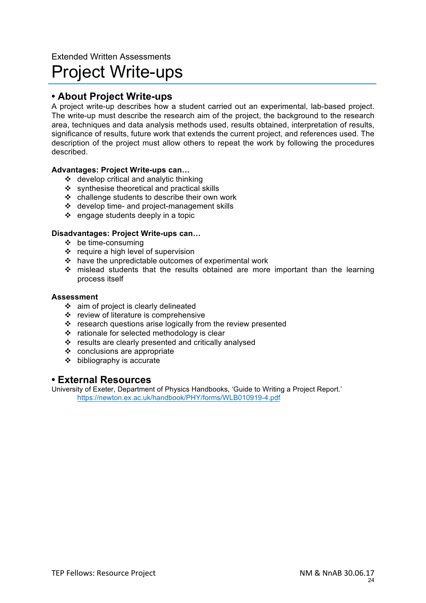# Extended Written Assessments Project Write-ups

# **• About Project Write-ups**

A project write-up describes how a student carried out an experimental, lab-based project. The write-up must describe the research aim of the project, the background to the research area, techniques and data analysis methods used, results obtained, interpretation of results, significance of results, future work that extends the current project, and references used. The description of the project must allow others to repeat the work by following the procedures described.

### **Advantages: Project Write-ups can…**

- $\div$  develop critical and analytic thinking
- $\div$  synthesise theoretical and practical skills
- $\triangleleft$  challenge students to describe their own work
- $\div$  develop time- and project-management skills
- $\div$  engage students deeply in a topic

### **Disadvantages: Project Write-ups can…**

- $\div$  be time-consuming
- $\div$  require a high level of supervision
- $\cdot \cdot$  have the unpredictable outcomes of experimental work
- $\div$  mislead students that the results obtained are more important than the learning process itself

#### **Assessment**

- v aim of project is clearly delineated
- $\div$  review of literature is comprehensive
- $\cdot \cdot$  research questions arise logically from the review presented
- $\div$  rationale for selected methodology is clear
- $\div$  results are clearly presented and critically analysed
- $\div$  conclusions are appropriate
- $\div$  bibliography is accurate

### **• External Resources**

University of Exeter, Department of Physics Handbooks, 'Guide to Writing a Project Report.' https://newton.ex.ac.uk/handbook/PHY/forms/WLB010919-4.pdf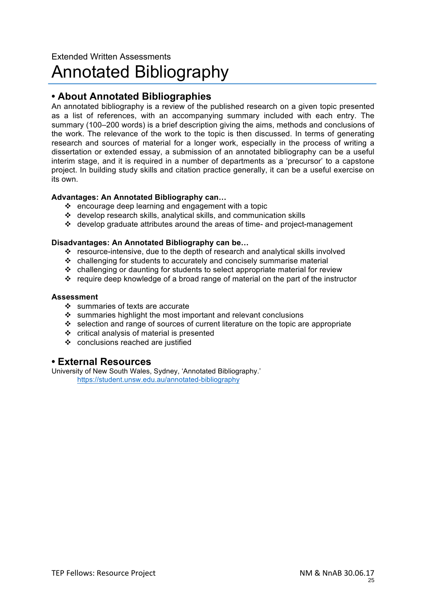# Extended Written Assessments Annotated Bibliography

# **• About Annotated Bibliographies**

An annotated bibliography is a review of the published research on a given topic presented as a list of references, with an accompanying summary included with each entry. The summary (100–200 words) is a brief description giving the aims, methods and conclusions of the work. The relevance of the work to the topic is then discussed. In terms of generating research and sources of material for a longer work, especially in the process of writing a dissertation or extended essay, a submission of an annotated bibliography can be a useful interim stage, and it is required in a number of departments as a 'precursor' to a capstone project. In building study skills and citation practice generally, it can be a useful exercise on its own.

### **Advantages: An Annotated Bibliography can…**

- $\div$  encourage deep learning and engagement with a topic
- $\div$  develop research skills, analytical skills, and communication skills
- $\cdot$  develop graduate attributes around the areas of time- and project-management

### **Disadvantages: An Annotated Bibliography can be…**

- v resource-intensive, due to the depth of research and analytical skills involved
- $\cdot$  challenging for students to accurately and concisely summarise material
- $\cdot \cdot$  challenging or daunting for students to select appropriate material for review
- $\cdot$  require deep knowledge of a broad range of material on the part of the instructor

#### **Assessment**

- $\div$  summaries of texts are accurate
- $\cdot$  summaries highlight the most important and relevant conclusions
- $\cdot$  selection and range of sources of current literature on the topic are appropriate
- $\div$  critical analysis of material is presented
- ❖ conclusions reached are justified

### **• External Resources**

University of New South Wales, Sydney, 'Annotated Bibliography.' https://student.unsw.edu.au/annotated-bibliography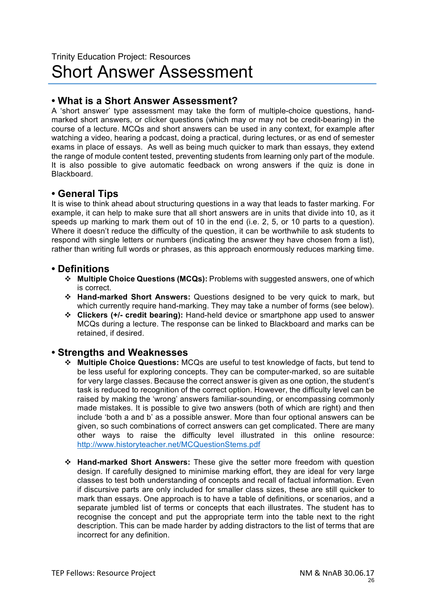# **• What is a Short Answer Assessment?**

A 'short answer' type assessment may take the form of multiple-choice questions, handmarked short answers, or clicker questions (which may or may not be credit-bearing) in the course of a lecture. MCQs and short answers can be used in any context, for example after watching a video, hearing a podcast, doing a practical, during lectures, or as end of semester exams in place of essays. As well as being much quicker to mark than essays, they extend the range of module content tested, preventing students from learning only part of the module. It is also possible to give automatic feedback on wrong answers if the quiz is done in Blackboard.

# **• General Tips**

It is wise to think ahead about structuring questions in a way that leads to faster marking. For example, it can help to make sure that all short answers are in units that divide into 10, as it speeds up marking to mark them out of 10 in the end (i.e. 2, 5, or 10 parts to a question). Where it doesn't reduce the difficulty of the question, it can be worthwhile to ask students to respond with single letters or numbers (indicating the answer they have chosen from a list), rather than writing full words or phrases, as this approach enormously reduces marking time.

# **• Definitions**

- v **Multiple Choice Questions (MCQs):** Problems with suggested answers, one of which is correct.
- v **Hand-marked Short Answers:** Questions designed to be very quick to mark, but which currently require hand-marking. They may take a number of forms (see below).
- v **Clickers (+/- credit bearing):** Hand-held device or smartphone app used to answer MCQs during a lecture. The response can be linked to Blackboard and marks can be retained, if desired.

# **• Strengths and Weaknesses**

- v **Multiple Choice Questions:** MCQs are useful to test knowledge of facts, but tend to be less useful for exploring concepts. They can be computer-marked, so are suitable for very large classes. Because the correct answer is given as one option, the student's task is reduced to recognition of the correct option. However, the difficulty level can be raised by making the 'wrong' answers familiar-sounding, or encompassing commonly made mistakes. It is possible to give two answers (both of which are right) and then include 'both a and b' as a possible answer. More than four optional answers can be given, so such combinations of correct answers can get complicated. There are many other ways to raise the difficulty level illustrated in this online resource: http://www.historyteacher.net/MCQuestionStems.pdf
- v **Hand-marked Short Answers:** These give the setter more freedom with question design. If carefully designed to minimise marking effort, they are ideal for very large classes to test both understanding of concepts and recall of factual information. Even if discursive parts are only included for smaller class sizes, these are still quicker to mark than essays. One approach is to have a table of definitions, or scenarios, and a separate jumbled list of terms or concepts that each illustrates. The student has to recognise the concept and put the appropriate term into the table next to the right description. This can be made harder by adding distractors to the list of terms that are incorrect for any definition.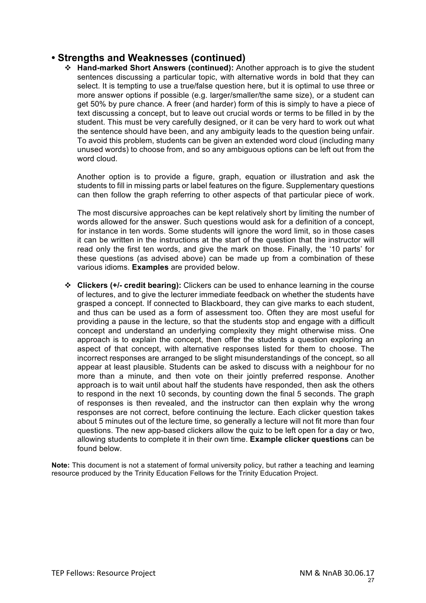# **• Strengths and Weaknesses (continued)**

v **Hand-marked Short Answers (continued):** Another approach is to give the student sentences discussing a particular topic, with alternative words in bold that they can select. It is tempting to use a true/false question here, but it is optimal to use three or more answer options if possible (e.g. larger/smaller/the same size), or a student can get 50% by pure chance. A freer (and harder) form of this is simply to have a piece of text discussing a concept, but to leave out crucial words or terms to be filled in by the student. This must be very carefully designed, or it can be very hard to work out what the sentence should have been, and any ambiguity leads to the question being unfair. To avoid this problem, students can be given an extended word cloud (including many unused words) to choose from, and so any ambiguous options can be left out from the word cloud.

Another option is to provide a figure, graph, equation or illustration and ask the students to fill in missing parts or label features on the figure. Supplementary questions can then follow the graph referring to other aspects of that particular piece of work.

The most discursive approaches can be kept relatively short by limiting the number of words allowed for the answer. Such questions would ask for a definition of a concept, for instance in ten words. Some students will ignore the word limit, so in those cases it can be written in the instructions at the start of the question that the instructor will read only the first ten words, and give the mark on those. Finally, the '10 parts' for these questions (as advised above) can be made up from a combination of these various idioms. **Examples** are provided below.

v **Clickers (+/- credit bearing):** Clickers can be used to enhance learning in the course of lectures, and to give the lecturer immediate feedback on whether the students have grasped a concept. If connected to Blackboard, they can give marks to each student, and thus can be used as a form of assessment too. Often they are most useful for providing a pause in the lecture, so that the students stop and engage with a difficult concept and understand an underlying complexity they might otherwise miss. One approach is to explain the concept, then offer the students a question exploring an aspect of that concept, with alternative responses listed for them to choose. The incorrect responses are arranged to be slight misunderstandings of the concept, so all appear at least plausible. Students can be asked to discuss with a neighbour for no more than a minute, and then vote on their jointly preferred response. Another approach is to wait until about half the students have responded, then ask the others to respond in the next 10 seconds, by counting down the final 5 seconds. The graph of responses is then revealed, and the instructor can then explain why the wrong responses are not correct, before continuing the lecture. Each clicker question takes about 5 minutes out of the lecture time, so generally a lecture will not fit more than four questions. The new app-based clickers allow the quiz to be left open for a day or two, allowing students to complete it in their own time. **Example clicker questions** can be found below.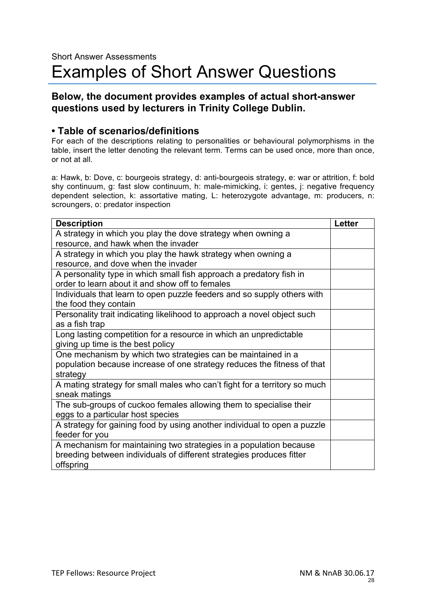# **• Table of scenarios/definitions**

For each of the descriptions relating to personalities or behavioural polymorphisms in the table, insert the letter denoting the relevant term. Terms can be used once, more than once, or not at all.

a: Hawk, b: Dove, c: bourgeois strategy, d: anti-bourgeois strategy, e: war or attrition, f: bold shy continuum, g: fast slow continuum, h: male-mimicking, i: gentes, j: negative frequency dependent selection, k: assortative mating, L: heterozygote advantage, m: producers, n: scroungers, o: predator inspection

| <b>Description</b>                                                        | <b>Letter</b> |  |
|---------------------------------------------------------------------------|---------------|--|
| A strategy in which you play the dove strategy when owning a              |               |  |
| resource, and hawk when the invader                                       |               |  |
| A strategy in which you play the hawk strategy when owning a              |               |  |
| resource, and dove when the invader                                       |               |  |
| A personality type in which small fish approach a predatory fish in       |               |  |
| order to learn about it and show off to females                           |               |  |
| Individuals that learn to open puzzle feeders and so supply others with   |               |  |
| the food they contain                                                     |               |  |
| Personality trait indicating likelihood to approach a novel object such   |               |  |
| as a fish trap                                                            |               |  |
| Long lasting competition for a resource in which an unpredictable         |               |  |
| giving up time is the best policy                                         |               |  |
| One mechanism by which two strategies can be maintained in a              |               |  |
| population because increase of one strategy reduces the fitness of that   |               |  |
| strategy                                                                  |               |  |
| A mating strategy for small males who can't fight for a territory so much |               |  |
| sneak matings                                                             |               |  |
| The sub-groups of cuckoo females allowing them to specialise their        |               |  |
| eggs to a particular host species                                         |               |  |
| A strategy for gaining food by using another individual to open a puzzle  |               |  |
| feeder for you                                                            |               |  |
| A mechanism for maintaining two strategies in a population because        |               |  |
| breeding between individuals of different strategies produces fitter      |               |  |
| offspring                                                                 |               |  |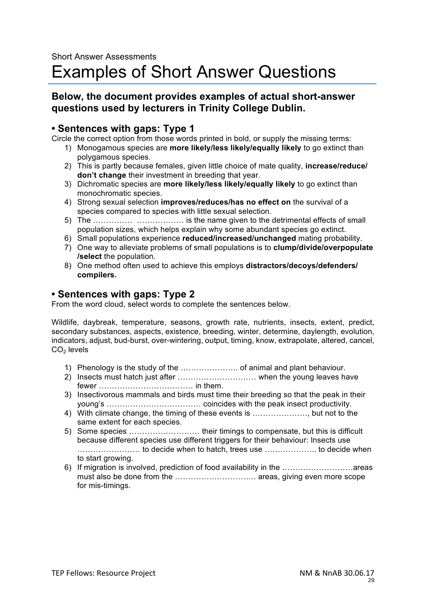# **• Sentences with gaps: Type 1**

Circle the correct option from those words printed in bold, or supply the missing terms:

- 1) Monogamous species are **more likely/less likely/equally likely** to go extinct than polygamous species.
- 2) This is partly because females, given little choice of mate quality, **increase/reduce/ don't change** their investment in breeding that year.
- 3) Dichromatic species are **more likely/less likely/equally likely** to go extinct than monochromatic species.
- 4) Strong sexual selection **improves/reduces/has no effect on** the survival of a species compared to species with little sexual selection.
- 5) The …………… ……………… is the name given to the detrimental effects of small population sizes, which helps explain why some abundant species go extinct.
- 6) Small populations experience **reduced/increased/unchanged** mating probability.
- 7) One way to alleviate problems of small populations is to **clump/divide/overpopulate /select** the population.
- 8) One method often used to achieve this employs **distractors/decoys/defenders/ compilers.**

# **• Sentences with gaps: Type 2**

From the word cloud, select words to complete the sentences below.

Wildlife, daybreak, temperature, seasons, growth rate, nutrients, insects, extent, predict, secondary substances, aspects, existence, breeding, winter, determine, daylength, evolution, indicators, adjust, bud-burst, over-wintering, output, timing, know, extrapolate, altered, cancel,  $CO<sub>2</sub>$  levels

- 1) Phenology is the study of the …………………. of animal and plant behaviour.
- 2) Insects must hatch just after ………………………… when the young leaves have fewer ……………………………… in them.
- 3) Insectivorous mammals and birds must time their breeding so that the peak in their young's ……………………………… coincides with the peak insect productivity.
- 4) With climate change, the timing of these events is …………………, but not to the same extent for each species.
- 5) Some species ……………………… their timings to compensate, but this is difficult because different species use different triggers for their behaviour: Insects use …………………… to decide when to hatch, trees use ……………….. to decide when to start growing.
- 6) If migration is involved, prediction of food availability in the ………………………areas must also be done from the …………………………. areas, giving even more scope for mis-timings.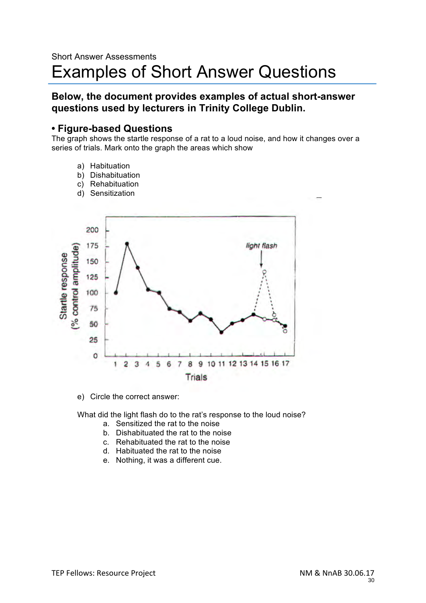### **• Figure-based Questions**

The graph shows the startle response of a rat to a loud noise, and how it changes over a series of trials. Mark onto the graph the areas which show

- a) Habituation
- b) Dishabituation
- c) Rehabituation
- d) Sensitization



e) Circle the correct answer:

What did the light flash do to the rat's response to the loud noise?

- a. Sensitized the rat to the noise
- b. Dishabituated the rat to the noise
- c. Rehabituated the rat to the noise
- d. Habituated the rat to the noise
- e. Nothing, it was a different cue.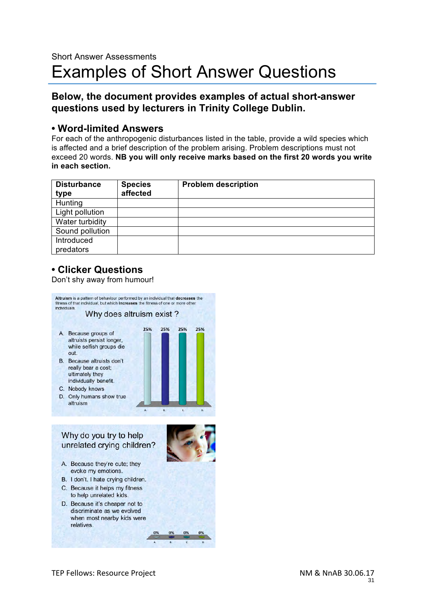# **• Word-limited Answers**

For each of the anthropogenic disturbances listed in the table, provide a wild species which is affected and a brief description of the problem arising. Problem descriptions must not exceed 20 words. **NB you will only receive marks based on the first 20 words you write in each section.** 

| <b>Disturbance</b><br>type | <b>Species</b><br>affected | <b>Problem description</b> |
|----------------------------|----------------------------|----------------------------|
| Hunting                    |                            |                            |
| Light pollution            |                            |                            |
| Water turbidity            |                            |                            |
| Sound pollution            |                            |                            |
| Introduced                 |                            |                            |
| predators                  |                            |                            |

# **• Clicker Questions**

Don't shy away from humour!

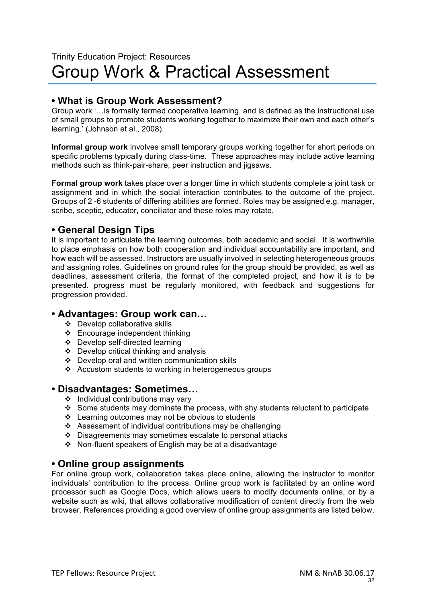# **• What is Group Work Assessment?**

Group work '…is formally termed cooperative learning, and is defined as the instructional use of small groups to promote students working together to maximize their own and each other's learning.' (Johnson et al., 2008).

**Informal group work** involves small temporary groups working together for short periods on specific problems typically during class-time. These approaches may include active learning methods such as think-pair-share, peer instruction and jigsaws.

**Formal group work** takes place over a longer time in which students complete a joint task or assignment and in which the social interaction contributes to the outcome of the project. Groups of 2 -6 students of differing abilities are formed. Roles may be assigned e.g. manager, scribe, sceptic, educator, conciliator and these roles may rotate.

# **• General Design Tips**

It is important to articulate the learning outcomes, both academic and social. It is worthwhile to place emphasis on how both cooperation and individual accountability are important, and how each will be assessed. Instructors are usually involved in selecting heterogeneous groups and assigning roles. Guidelines on ground rules for the group should be provided, as well as deadlines, assessment criteria, the format of the completed project, and how it is to be presented. progress must be regularly monitored, with feedback and suggestions for progression provided.

# **• Advantages: Group work can…**

- v Develop collaborative skills
- $\div$  Encourage independent thinking
- v Develop self-directed learning
- $\div$  Develop critical thinking and analysis
- $\div$  Develop oral and written communication skills
- v Accustom students to working in heterogeneous groups

# **• Disadvantages: Sometimes…**

- $\div$  Individual contributions may vary
- Some students may dominate the process, with shy students reluctant to participate
- $\div$  Learning outcomes may not be obvious to students
- \* Assessment of individual contributions may be challenging
- $\div$  Disagreements may sometimes escalate to personal attacks
- $\div$  Non-fluent speakers of English may be at a disadvantage

# **• Online group assignments**

For online group work, collaboration takes place online, allowing the instructor to monitor individuals' contribution to the process. Online group work is facilitated by an online word processor such as Google Docs, which allows users to modify documents online, or by a website such as wiki, that allows collaborative modification of content directly from the web browser. References providing a good overview of online group assignments are listed below.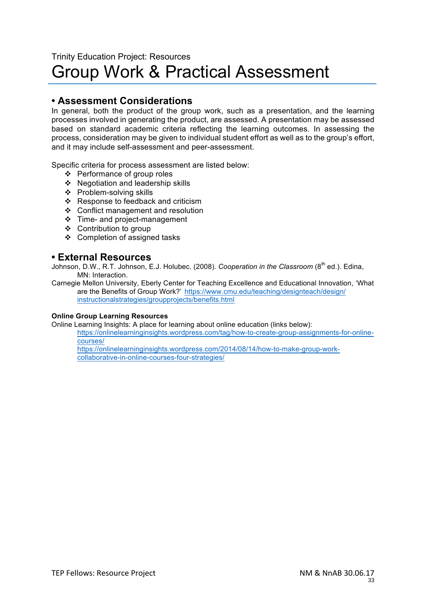# Trinity Education Project: Resources Group Work & Practical Assessment

# **• Assessment Considerations**

In general, both the product of the group work, such as a presentation, and the learning processes involved in generating the product, are assessed. A presentation may be assessed based on standard academic criteria reflecting the learning outcomes. In assessing the process, consideration may be given to individual student effort as well as to the group's effort, and it may include self-assessment and peer-assessment.

Specific criteria for process assessment are listed below:

- ❖ Performance of group roles
- $\div$  Negotiation and leadership skills
- $\div$  Problem-solving skills
- $\div$  Response to feedback and criticism
- ❖ Conflict management and resolution
- $\div$  Time- and project-management
- ❖ Contribution to group
- v Completion of assigned tasks

# **• External Resources**

Johnson, D.W., R.T. Johnson, E.J. Holubec. (2008). *Cooperation in the Classroom* (8<sup>th</sup> ed.). Edina, MN: Interaction.

Carnegie Mellon University, Eberly Center for Teaching Excellence and Educational Innovation, 'What are the Benefits of Group Work?' https://www.cmu.edu/teaching/designteach/design/ instructionalstrategies/groupprojects/benefits.html

#### **Online Group Learning Resources**

Online Learning Insights: A place for learning about online education (links below):

https://onlinelearninginsights.wordpress.com/tag/how-to-create-group-assignments-for-onlinecourses/

https://onlinelearninginsights.wordpress.com/2014/08/14/how-to-make-group-workcollaborative-in-online-courses-four-strategies/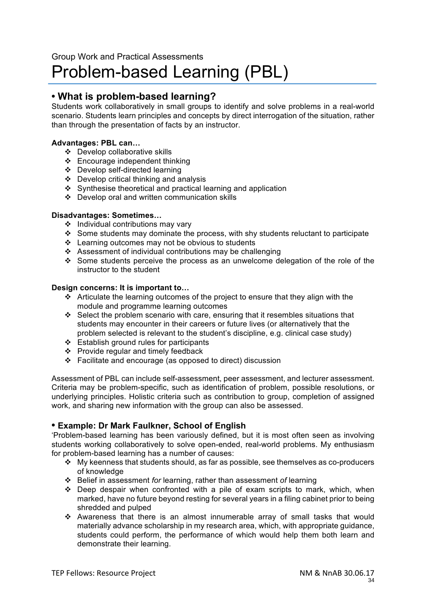# Problem-based Learning (PBL)

# **• What is problem-based learning?**

Students work collaboratively in small groups to identify and solve problems in a real-world scenario. Students learn principles and concepts by direct interrogation of the situation, rather than through the presentation of facts by an instructor.

### **Advantages: PBL can…**

- $\div$  Develop collaborative skills
- $\div$  Encourage independent thinking
- v Develop self-directed learning
- $\div$  Develop critical thinking and analysis
- $\div$  Synthesise theoretical and practical learning and application
- $\div$  Develop oral and written communication skills

### **Disadvantages: Sometimes…**

- $\div$  Individual contributions may vary
- Some students may dominate the process, with shy students reluctant to participate
- $\div$  Learning outcomes may not be obvious to students
- $\div$  Assessment of individual contributions may be challenging
- $\cdot$  Some students perceive the process as an unwelcome delegation of the role of the instructor to the student

#### **Design concerns: It is important to…**

- $\cdot \cdot$  Articulate the learning outcomes of the project to ensure that they align with the module and programme learning outcomes
- $\div$  Select the problem scenario with care, ensuring that it resembles situations that students may encounter in their careers or future lives (or alternatively that the problem selected is relevant to the student's discipline, e.g. clinical case study)
- v Establish ground rules for participants
- $\div$  Provide regular and timely feedback
- $\div$  Facilitate and encourage (as opposed to direct) discussion

Assessment of PBL can include self-assessment, peer assessment, and lecturer assessment. Criteria may be problem-specific, such as identification of problem, possible resolutions, or underlying principles. Holistic criteria such as contribution to group, completion of assigned work, and sharing new information with the group can also be assessed.

### **• Example: Dr Mark Faulkner, School of English**

'Problem-based learning has been variously defined, but it is most often seen as involving students working collaboratively to solve open-ended, real-world problems. My enthusiasm for problem-based learning has a number of causes:

- $\cdot \cdot$  My keenness that students should, as far as possible, see themselves as co-producers of knowledge
- v Belief in assessment *for* learning, rather than assessment *of* learning
- $\div$  Deep despair when confronted with a pile of exam scripts to mark, which, when marked, have no future beyond resting for several years in a filing cabinet prior to being shredded and pulped
- \* Awareness that there is an almost innumerable array of small tasks that would materially advance scholarship in my research area, which, with appropriate guidance, students could perform, the performance of which would help them both learn and demonstrate their learning.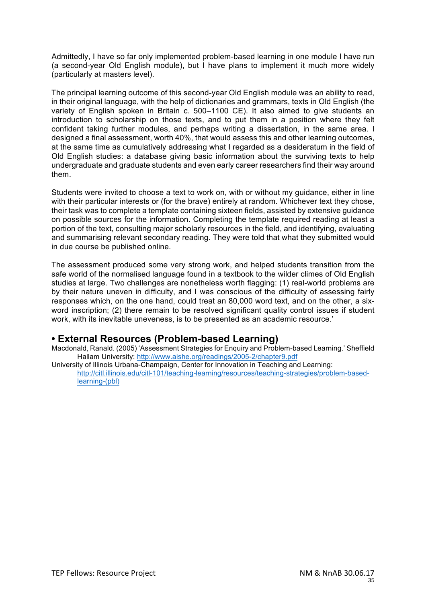Admittedly, I have so far only implemented problem-based learning in one module I have run (a second-year Old English module), but I have plans to implement it much more widely (particularly at masters level).

The principal learning outcome of this second-year Old English module was an ability to read, in their original language, with the help of dictionaries and grammars, texts in Old English (the variety of English spoken in Britain c. 500–1100 CE). It also aimed to give students an introduction to scholarship on those texts, and to put them in a position where they felt confident taking further modules, and perhaps writing a dissertation, in the same area. I designed a final assessment, worth 40%, that would assess this and other learning outcomes, at the same time as cumulatively addressing what I regarded as a desideratum in the field of Old English studies: a database giving basic information about the surviving texts to help undergraduate and graduate students and even early career researchers find their way around them.

Students were invited to choose a text to work on, with or without my guidance, either in line with their particular interests or (for the brave) entirely at random. Whichever text they chose, their task was to complete a template containing sixteen fields, assisted by extensive guidance on possible sources for the information. Completing the template required reading at least a portion of the text, consulting major scholarly resources in the field, and identifying, evaluating and summarising relevant secondary reading. They were told that what they submitted would in due course be published online.

The assessment produced some very strong work, and helped students transition from the safe world of the normalised language found in a textbook to the wilder climes of Old English studies at large. Two challenges are nonetheless worth flagging: (1) real-world problems are by their nature uneven in difficulty, and I was conscious of the difficulty of assessing fairly responses which, on the one hand, could treat an 80,000 word text, and on the other, a sixword inscription; (2) there remain to be resolved significant quality control issues if student work, with its inevitable uneveness, is to be presented as an academic resource.'

# **• External Resources (Problem-based Learning)**

Macdonald, Ranald. (2005) 'Assessment Strategies for Enquiry and Problem-based Learning.' Sheffield Hallam University: http://www.aishe.org/readings/2005-2/chapter9.pdf

University of Illinois Urbana-Champaign, Center for Innovation in Teaching and Learning: http://citl.illinois.edu/citl-101/teaching-learning/resources/teaching-strategies/problem-basedlearning-(pbl)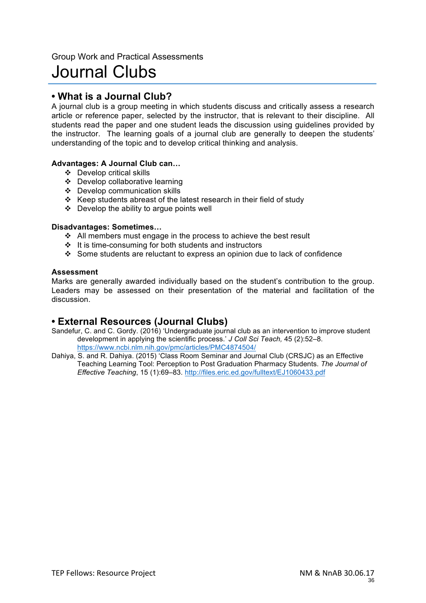# Journal Clubs

# **• What is a Journal Club?**

A journal club is a group meeting in which students discuss and critically assess a research article or reference paper, selected by the instructor, that is relevant to their discipline. All students read the paper and one student leads the discussion using guidelines provided by the instructor. The learning goals of a journal club are generally to deepen the students' understanding of the topic and to develop critical thinking and analysis.

### **Advantages: A Journal Club can…**

- v Develop critical skills
- v Develop collaborative learning
- $\div$  Develop communication skills
- \* Keep students abreast of the latest research in their field of study
- $\div$  Develop the ability to argue points well

### **Disadvantages: Sometimes…**

- $\div$  All members must engage in the process to achieve the best result
- $\cdot \cdot$  It is time-consuming for both students and instructors
- Some students are reluctant to express an opinion due to lack of confidence

### **Assessment**

Marks are generally awarded individually based on the student's contribution to the group. Leaders may be assessed on their presentation of the material and facilitation of the discussion.

# **• External Resources (Journal Clubs)**

- Sandefur, C. and C. Gordy. (2016) 'Undergraduate journal club as an intervention to improve student development in applying the scientific process.' *J Coll Sci Teach,* 45 (2):52–8. https://www.ncbi.nlm.nih.gov/pmc/articles/PMC4874504/
- Dahiya, S. and R. Dahiya. (2015) 'Class Room Seminar and Journal Club (CRSJC) as an Effective Teaching Learning Tool: Perception to Post Graduation Pharmacy Students. *The Journal of Effective Teaching*, 15 (1):69–83. http://files.eric.ed.gov/fulltext/EJ1060433.pdf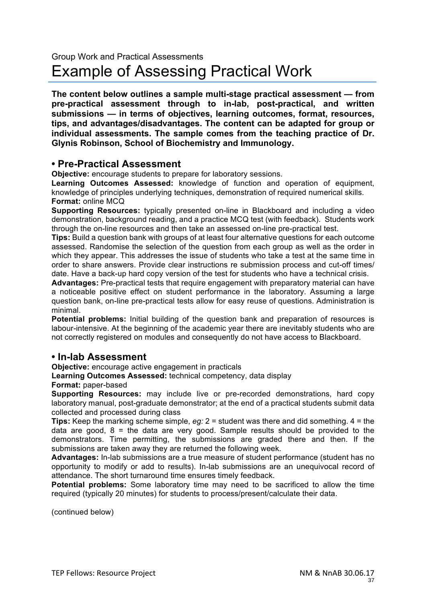**The content below outlines a sample multi-stage practical assessment — from pre-practical assessment through to in-lab, post-practical, and written submissions — in terms of objectives, learning outcomes, format, resources, tips, and advantages/disadvantages. The content can be adapted for group or individual assessments. The sample comes from the teaching practice of Dr. Glynis Robinson, School of Biochemistry and Immunology.**

# **• Pre-Practical Assessment**

**Objective:** encourage students to prepare for laboratory sessions.

**Learning Outcomes Assessed:** knowledge of function and operation of equipment, knowledge of principles underlying techniques, demonstration of required numerical skills. **Format:** online MCQ

**Supporting Resources:** typically presented on-line in Blackboard and including a video demonstration, background reading, and a practice MCQ test (with feedback). Students work through the on-line resources and then take an assessed on-line pre-practical test.

**Tips:** Build a question bank with groups of at least four alternative questions for each outcome assessed. Randomise the selection of the question from each group as well as the order in which they appear. This addresses the issue of students who take a test at the same time in order to share answers. Provide clear instructions re submission process and cut-off times/ date. Have a back-up hard copy version of the test for students who have a technical crisis.

**Advantages:** Pre-practical tests that require engagement with preparatory material can have a noticeable positive effect on student performance in the laboratory. Assuming a large question bank, on-line pre-practical tests allow for easy reuse of questions. Administration is minimal.

**Potential problems:** Initial building of the question bank and preparation of resources is labour-intensive. At the beginning of the academic year there are inevitably students who are not correctly registered on modules and consequently do not have access to Blackboard.

# **• In-lab Assessment**

**Objective:** encourage active engagement in practicals

**Learning Outcomes Assessed:** technical competency, data display

**Format:** paper-based

**Supporting Resources:** may include live or pre-recorded demonstrations, hard copy laboratory manual, post-graduate demonstrator; at the end of a practical students submit data collected and processed during class

**Tips:** Keep the marking scheme simple, *eg:* 2 = student was there and did something. 4 = the data are good,  $8$  = the data are very good. Sample results should be provided to the demonstrators. Time permitting, the submissions are graded there and then. If the submissions are taken away they are returned the following week.

**Advantages:** In-lab submissions are a true measure of student performance (student has no opportunity to modify or add to results). In-lab submissions are an unequivocal record of attendance. The short turnaround time ensures timely feedback.

**Potential problems:** Some laboratory time may need to be sacrificed to allow the time required (typically 20 minutes) for students to process/present/calculate their data.

(continued below)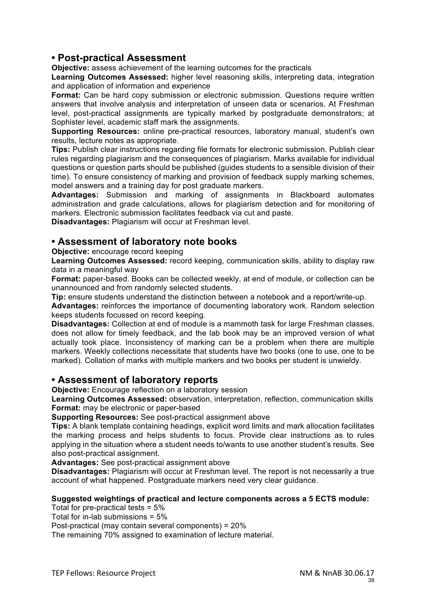# **• Post-practical Assessment**

**Objective:** assess achievement of the learning outcomes for the practicals

**Learning Outcomes Assessed:** higher level reasoning skills, interpreting data, integration and application of information and experience

**Format:** Can be hard copy submission or electronic submission. Questions require written answers that involve analysis and interpretation of unseen data or scenarios. At Freshman level, post-practical assignments are typically marked by postgraduate demonstrators; at Sophister level, academic staff mark the assignments.

**Supporting Resources:** online pre-practical resources, laboratory manual, student's own results, lecture notes as appropriate.

**Tips:** Publish clear instructions regarding file formats for electronic submission. Publish clear rules regarding plagiarism and the consequences of plagiarism. Marks available for individual questions or question parts should be published (guides students to a sensible division of their time). To ensure consistency of marking and provision of feedback supply marking schemes, model answers and a training day for post graduate markers.

**Advantages:** Submission and marking of assignments in Blackboard automates administration and grade calculations, allows for plagiarism detection and for monitoring of markers. Electronic submission facilitates feedback via cut and paste.

**Disadvantages:** Plagiarism will occur at Freshman level.

# **• Assessment of laboratory note books**

### **Objective:** encourage record keeping

**Learning Outcomes Assessed:** record keeping, communication skills, ability to display raw data in a meaningful way

**Format:** paper-based. Books can be collected weekly, at end of module, or collection can be unannounced and from randomly selected students.

**Tip:** ensure students understand the distinction between a notebook and a report/write-up.

**Advantages:** reinforces the importance of documenting laboratory work. Random selection keeps students focussed on record keeping.

**Disadvantages:** Collection at end of module is a mammoth task for large Freshman classes, does not allow for timely feedback, and the lab book may be an improved version of what actually took place. Inconsistency of marking can be a problem when there are multiple markers. Weekly collections necessitate that students have two books (one to use, one to be marked). Collation of marks with multiple markers and two books per student is unwieldy.

### **• Assessment of laboratory reports**

**Objective:** Encourage reflection on a laboratory session

**Learning Outcomes Assessed:** observation, interpretation, reflection, communication skills **Format:** may be electronic or paper-based

**Supporting Resources:** See post-practical assignment above

**Tips:** A blank template containing headings, explicit word limits and mark allocation facilitates the marking process and helps students to focus. Provide clear instructions as to rules applying in the situation where a student needs to/wants to use another student's results. See also post-practical assignment.

**Advantages:** See post-practical assignment above

**Disadvantages:** Plagiarism will occur at Freshman level. The report is not necessarily a true account of what happened. Postgraduate markers need very clear guidance.

### **Suggested weightings of practical and lecture components across a 5 ECTS module:**

Total for pre-practical tests = 5%

Total for in-lab submissions = 5%

Post-practical (may contain several components) = 20%

The remaining 70% assigned to examination of lecture material.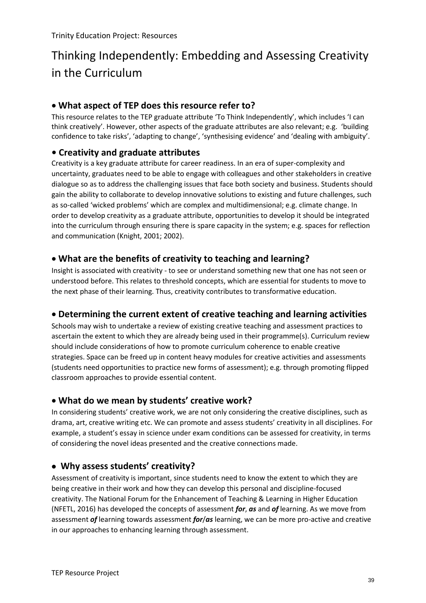# Thinking Independently: Embedding and Assessing Creativity in the Curriculum

# **What aspect of TEP does this resource refer to?**

This resource relates to the TEP graduate attribute 'To Think Independently', which includes 'I can think creatively'. However, other aspects of the graduate attributes are also relevant; e.g. 'building confidence to take risks', 'adapting to change', 'synthesising evidence' and 'dealing with ambiguity'.

# **• Creativity and graduate attributes**

Creativity is a key graduate attribute for career readiness. In an era of super-complexity and uncertainty, graduates need to be able to engage with colleagues and other stakeholders in creative dialogue so as to address the challenging issues that face both society and business. Students should gain the ability to collaborate to develop innovative solutions to existing and future challenges, such as so-called 'wicked problems' which are complex and multidimensional; e.g. climate change. In order to develop creativity as a graduate attribute, opportunities to develop it should be integrated into the curriculum through ensuring there is spare capacity in the system; e.g. spaces for reflection and communication (Knight, 2001; 2002).

# **What are the benefits of creativity to teaching and learning?**

Insight is associated with creativity - to see or understand something new that one has not seen or understood before. This relates to threshold concepts, which are essential for students to move to the next phase of their learning. Thus, creativity contributes to transformative education.

# **Determining the current extent of creative teaching and learning activities**

Schools may wish to undertake a review of existing creative teaching and assessment practices to ascertain the extent to which they are already being used in their programme(s). Curriculum review should include considerations of how to promote curriculum coherence to enable creative strategies. Space can be freed up in content heavy modules for creative activities and assessments (students need opportunities to practice new forms of assessment); e.g. through promoting flipped classroom approaches to provide essential content.

# **What do we mean by students' creative work?**

In considering students' creative work, we are not only considering the creative disciplines, such as drama, art, creative writing etc. We can promote and assess students' creativity in all disciplines. For example, a student's essay in science under exam conditions can be assessed for creativity, in terms of considering the novel ideas presented and the creative connections made.

# **Why assess students' creativity?**

Assessment of creativity is important, since students need to know the extent to which they are being creative in their work and how they can develop this personal and discipline-focused creativity. The National Forum for the Enhancement of Teaching & Learning in Higher Education (NFETL, 2016) has developed the concepts of assessment *for*, *as* and *of* learning. As we move from assessment *of* learning towards assessment *for*/*as* learning, we can be more pro-active and creative in our approaches to enhancing learning through assessment.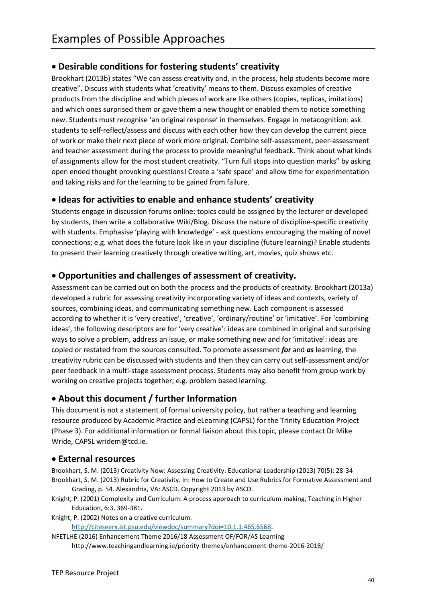# **Desirable conditions for fostering students' creativity**

Brookhart (2013b) states "We can assess creativity and, in the process, help students become more creative". Discuss with students what 'creativity' means to them. Discuss examples of creative products from the discipline and which pieces of work are like others (copies, replicas, imitations) and which ones surprised them or gave them a new thought or enabled them to notice something new. Students must recognise 'an original response' in themselves. Engage in metacognition: ask students to self-reflect/assess and discuss with each other how they can develop the current piece of work or make their next piece of work more original. Combine self-assessment, peer-assessment and teacher assessment during the process to provide meaningful feedback. Think about what kinds of assignments allow for the most student creativity. "Turn full stops into question marks" by asking open ended thought provoking questions! Create a 'safe space' and allow time for experimentation and taking risks and for the learning to be gained from failure.

# **Ideas for activities to enable and enhance students' creativity**

Students engage in discussion forums online: topics could be assigned by the lecturer or developed by students, then write a collaborative Wiki/Blog. Discuss the nature of discipline-specific creativity with students. Emphasise 'playing with knowledge' - ask questions encouraging the making of novel connections; e.g. what does the future look like in your discipline (future learning)? Enable students to present their learning creatively through creative writing, art, movies, quiz shows etc.

# **Opportunities and challenges of assessment of creativity.**

Assessment can be carried out on both the process and the products of creativity. Brookhart (2013a) developed a rubric for assessing creativity incorporating variety of ideas and contexts, variety of sources, combining ideas, and communicating something new. Each component is assessed according to whether it is 'very creative', 'creative', 'ordinary/routine' or 'imitative'. For 'combining ideas', the following descriptors are for 'very creative': ideas are combined in original and surprising ways to solve a problem, address an issue, or make something new and for 'imitative': ideas are copied or restated from the sources consulted. To promote assessment *for* and *as* learning, the creativity rubric can be discussed with students and then they can carry out self-assessment and/or peer feedback in a multi-stage assessment process. Students may also benefit from group work by working on creative projects together; e.g. problem based learning.

# **About this document / further Information**

This document is not a statement of formal university policy, but rather a teaching and learning resource produced by Academic Practice and eLearning (CAPSL) for the Trinity Education Project (Phase 3). For additional information or formal liaison about this topic, please contact Dr Mike Wride, CAPSL wridem@tcd.ie.

# **External resources**

Brookhart, S. M. (2013) Creativity Now: Assessing Creativity. Educational Leadership (2013) 70(5): 28-34 Brookhart, S. M. (2013) Rubric for Creativity. In: How to Create and Use Rubrics for Formative Assessment and

Grading, p. 54. Alexandria, VA: ASCD. Copyright 2013 by ASCD. Knight, P. (2001) Complexity and Curriculum: A process approach to curriculum-making, Teaching in Higher Education, 6:3, 369-381.

Knight, P. (2002) Notes on a creative curriculum.

[http://citeseerx.ist.psu.edu/viewdoc/summary?doi=10.1.1.465.6568.](http://citeseerx.ist.psu.edu/viewdoc/summary?doi=10.1.1.465.6568)

NFETLHE (2016) Enhancement Theme 2016/18 Assessment OF/FOR/AS Learning http://www.teachingandlearning.ie/priority-themes/enhancement-theme-2016-2018/